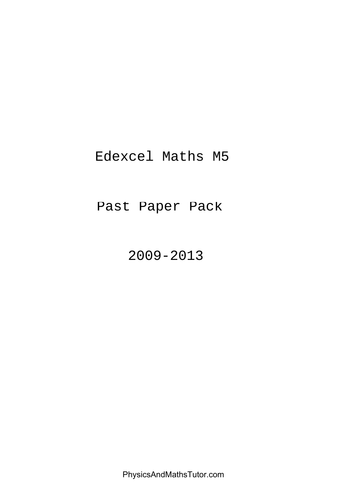# Edexcel Maths M5

# Past Paper Pack

2009-2013

PhysicsAndMathsTutor.com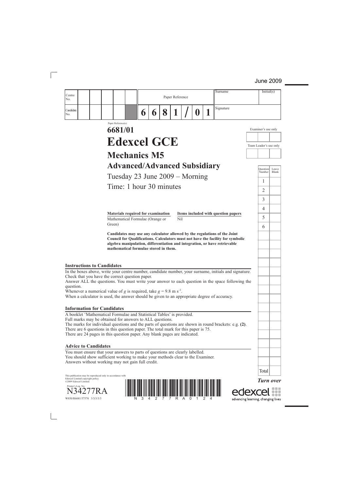| Centre                                                                                                                                                                                                                                                                                                                                                                                                                                                      |                                                                        |   |   |   | Paper Reference |    | Surname                                                                                                                                                       |                        | Initial(s)          |       |
|-------------------------------------------------------------------------------------------------------------------------------------------------------------------------------------------------------------------------------------------------------------------------------------------------------------------------------------------------------------------------------------------------------------------------------------------------------------|------------------------------------------------------------------------|---|---|---|-----------------|----|---------------------------------------------------------------------------------------------------------------------------------------------------------------|------------------------|---------------------|-------|
| No.                                                                                                                                                                                                                                                                                                                                                                                                                                                         |                                                                        |   |   |   |                 |    | Signature                                                                                                                                                     |                        |                     |       |
| Candidate<br>No.                                                                                                                                                                                                                                                                                                                                                                                                                                            |                                                                        | 6 | 6 | 8 | 1               | I) |                                                                                                                                                               |                        |                     |       |
|                                                                                                                                                                                                                                                                                                                                                                                                                                                             | Paper Reference(s)<br>6681/01                                          |   |   |   |                 |    |                                                                                                                                                               |                        | Examiner's use only |       |
|                                                                                                                                                                                                                                                                                                                                                                                                                                                             |                                                                        |   |   |   |                 |    |                                                                                                                                                               |                        |                     |       |
|                                                                                                                                                                                                                                                                                                                                                                                                                                                             | <b>Edexcel GCE</b>                                                     |   |   |   |                 |    |                                                                                                                                                               | Team Leader's use only |                     |       |
|                                                                                                                                                                                                                                                                                                                                                                                                                                                             | <b>Mechanics M5</b>                                                    |   |   |   |                 |    |                                                                                                                                                               |                        |                     |       |
|                                                                                                                                                                                                                                                                                                                                                                                                                                                             | <b>Advanced/Advanced Subsidiary</b>                                    |   |   |   |                 |    |                                                                                                                                                               |                        | <b>Question</b>     | Leave |
|                                                                                                                                                                                                                                                                                                                                                                                                                                                             | Tuesday 23 June 2009 – Morning                                         |   |   |   |                 |    |                                                                                                                                                               |                        | Number              | Blank |
|                                                                                                                                                                                                                                                                                                                                                                                                                                                             | Time: 1 hour 30 minutes                                                |   |   |   |                 |    |                                                                                                                                                               |                        | 1<br>$\overline{2}$ |       |
|                                                                                                                                                                                                                                                                                                                                                                                                                                                             |                                                                        |   |   |   |                 |    |                                                                                                                                                               |                        | 3                   |       |
|                                                                                                                                                                                                                                                                                                                                                                                                                                                             |                                                                        |   |   |   |                 |    |                                                                                                                                                               |                        | 4                   |       |
|                                                                                                                                                                                                                                                                                                                                                                                                                                                             | Materials required for examination<br>Mathematical Formulae (Orange or |   |   |   | Nil             |    | Items included with question papers                                                                                                                           |                        | 5                   |       |
|                                                                                                                                                                                                                                                                                                                                                                                                                                                             | Green)                                                                 |   |   |   |                 |    |                                                                                                                                                               |                        | 6                   |       |
| <b>Instructions to Candidates</b>                                                                                                                                                                                                                                                                                                                                                                                                                           | mathematical formulae stored in them.                                  |   |   |   |                 |    | Council for Qualifications. Calculators must not have the facility for symbolic<br>algebra manipulation, differentiation and integration, or have retrievable |                        |                     |       |
| In the boxes above, write your centre number, candidate number, your surname, initials and signature.<br>Check that you have the correct question paper.<br>Answer ALL the questions. You must write your answer to each question in the space following the<br>question.<br>Whenever a numerical value of g is required, take $g = 9.8$ m s <sup>-2</sup> .<br>When a calculator is used, the answer should be given to an appropriate degree of accuracy. |                                                                        |   |   |   |                 |    |                                                                                                                                                               |                        |                     |       |
| <b>Information for Candidates</b>                                                                                                                                                                                                                                                                                                                                                                                                                           |                                                                        |   |   |   |                 |    |                                                                                                                                                               |                        |                     |       |
| A booklet 'Mathematical Formulae and Statistical Tables' is provided.<br>Full marks may be obtained for answers to ALL questions.<br>The marks for individual questions and the parts of questions are shown in round brackets: e.g. (2).<br>There are 6 questions in this question paper. The total mark for this paper is 75.<br>There are 24 pages in this question paper. Any blank pages are indicated.                                                |                                                                        |   |   |   |                 |    |                                                                                                                                                               |                        |                     |       |
| <b>Advice to Candidates</b>                                                                                                                                                                                                                                                                                                                                                                                                                                 |                                                                        |   |   |   |                 |    |                                                                                                                                                               |                        |                     |       |
| You must ensure that your answers to parts of questions are clearly labelled.<br>You should show sufficient working to make your methods clear to the Examiner.<br>Answers without working may not gain full credit.                                                                                                                                                                                                                                        |                                                                        |   |   |   |                 |    |                                                                                                                                                               |                        |                     |       |
|                                                                                                                                                                                                                                                                                                                                                                                                                                                             |                                                                        |   |   |   |                 |    |                                                                                                                                                               |                        | Total               |       |
| This publication may be reproduced only in accordance with<br>Edexcel Limited copyright policy.<br>©2009 Edexcel Limited.<br>Printer's Log. No.<br>W850/R6681/57570 3/3/3/3/3                                                                                                                                                                                                                                                                               |                                                                        |   |   |   |                 |    | advancing learning, changing lives                                                                                                                            |                        | <b>Turn over</b>    |       |

advancing learning, changing lives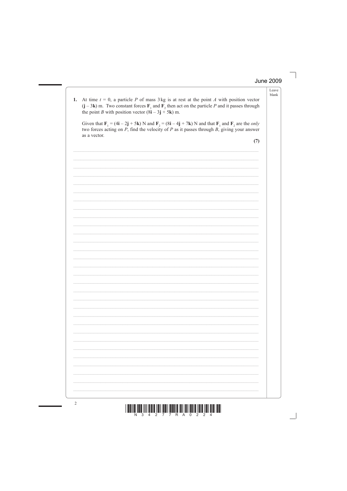Leave

| 1. | At time $t = 0$ , a particle P of mass 3 kg is at rest at the point A with position vector<br>$(j - 3k)$ m. Two constant forces $F_1$ and $F_2$ then act on the particle P and it passes through<br>the point <i>B</i> with position vector $(8i - 3j + 5k)$ m.                                                              | blank |
|----|------------------------------------------------------------------------------------------------------------------------------------------------------------------------------------------------------------------------------------------------------------------------------------------------------------------------------|-------|
|    | Given that $\mathbf{F}_1 = (4\mathbf{i} - 2\mathbf{j} + 5\mathbf{k})$ N and $\mathbf{F}_2 = (8\mathbf{i} - 4\mathbf{j} + 7\mathbf{k})$ N and that $\mathbf{F}_1$ and $\mathbf{F}_2$ are the <i>only</i><br>two forces acting on $P$ , find the velocity of $P$ as it passes through $B$ , giving your answer<br>as a vector. |       |
|    | (7)                                                                                                                                                                                                                                                                                                                          |       |
|    |                                                                                                                                                                                                                                                                                                                              |       |
|    |                                                                                                                                                                                                                                                                                                                              |       |
|    |                                                                                                                                                                                                                                                                                                                              |       |
|    |                                                                                                                                                                                                                                                                                                                              |       |
|    |                                                                                                                                                                                                                                                                                                                              |       |
|    |                                                                                                                                                                                                                                                                                                                              |       |
|    |                                                                                                                                                                                                                                                                                                                              |       |
|    |                                                                                                                                                                                                                                                                                                                              |       |
|    |                                                                                                                                                                                                                                                                                                                              |       |
|    |                                                                                                                                                                                                                                                                                                                              |       |
|    |                                                                                                                                                                                                                                                                                                                              |       |
|    |                                                                                                                                                                                                                                                                                                                              |       |
|    |                                                                                                                                                                                                                                                                                                                              |       |
|    |                                                                                                                                                                                                                                                                                                                              |       |
|    |                                                                                                                                                                                                                                                                                                                              |       |
|    |                                                                                                                                                                                                                                                                                                                              |       |
|    |                                                                                                                                                                                                                                                                                                                              |       |
|    |                                                                                                                                                                                                                                                                                                                              |       |

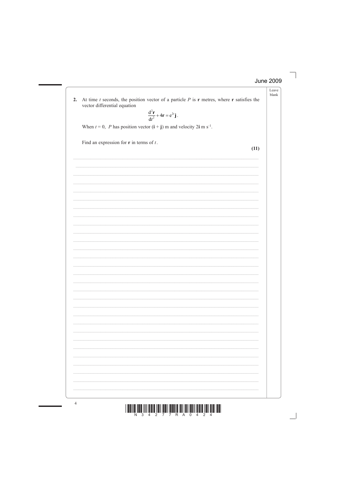Leave blank

At time  $t$  seconds, the position vector of a particle  $P$  is  $\bf{r}$  metres, where  $\bf{r}$  satisfies the  $2.$ vector differential equation

$$
\frac{\mathrm{d}^2\mathbf{r}}{\mathrm{d}t^2} + 4\mathbf{r} = e^{2t}\mathbf{j}.
$$

When  $t = 0$ , P has position vector  $(i + j)$  m and velocity 2i m s<sup>-1</sup>.

Find an expression for  $\bf{r}$  in terms of  $t$ .

 $(11)$ 

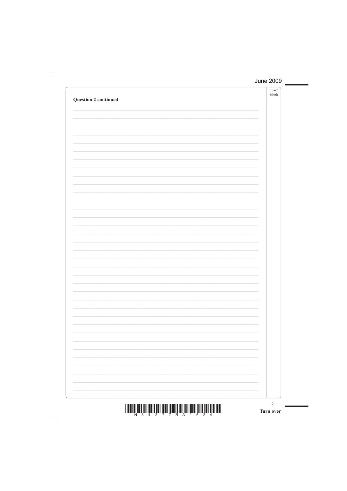| <b>Question 2 continued</b> | Leave<br>blank |
|-----------------------------|----------------|
|                             |                |
|                             |                |
|                             |                |
|                             |                |
|                             |                |
|                             |                |
|                             |                |
|                             |                |
|                             |                |
|                             |                |
|                             |                |
|                             |                |
|                             |                |
|                             |                |
|                             |                |
|                             |                |
|                             |                |
|                             |                |
|                             |                |
|                             |                |
|                             |                |
|                             | 5 <sup>5</sup> |

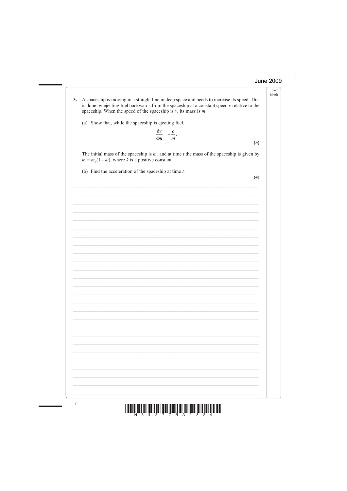Leave blank

- A spaceship is moving in a straight line in deep space and needs to increase its speed. This  $3.$ is done by ejecting fuel backwards from the spaceship at a constant speed  $c$  relative to the spaceship. When the speed of the spaceship is  $v$ , its mass is  $m$ .
	- (a) Show that, while the spaceship is ejecting fuel,

$$
\frac{\mathrm{d}v}{\mathrm{d}m} = -\frac{c}{m}.
$$

The initial mass of the spaceship is  $m_0$  and at time t the mass of the spaceship is given by  $m = m<sub>0</sub>(1 - kt)$ , where k is a positive constant.

(b) Find the acceleration of the spaceship at time  $t$ .

 $(4)$ 

 $(5)$ 

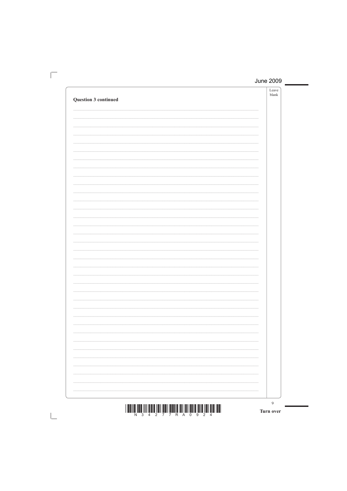| <b>Question 3 continued</b> | Leave<br>$\ensuremath{\textrm{blank}}$ |
|-----------------------------|----------------------------------------|
|                             |                                        |
|                             |                                        |
|                             |                                        |
|                             |                                        |
|                             |                                        |
|                             |                                        |
|                             |                                        |
|                             |                                        |
|                             |                                        |
|                             |                                        |
|                             |                                        |
|                             |                                        |
|                             |                                        |
|                             |                                        |
|                             |                                        |
|                             |                                        |
|                             |                                        |
|                             |                                        |
|                             |                                        |
|                             |                                        |
|                             | 9                                      |

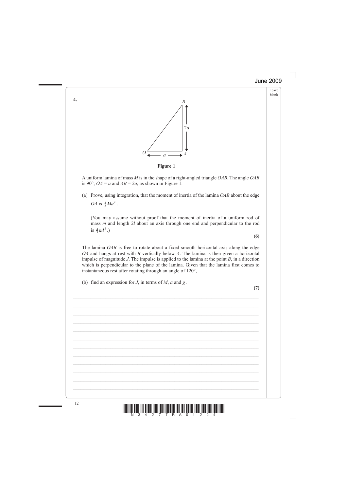



**Figure 1**

 A uniform lamina of mass *M* is in the shape of a right-angled triangle *OAB*. The angle *OAB* is 90°,  $OA = a$  and  $AB = 2a$ , as shown in Figure 1.

 (a) Prove, using integration, that the moment of inertia of the lamina *OAB* about the edge *OA* is  $\frac{2}{3}Ma^2$ .

 (You may assume without proof that the moment of inertia of a uniform rod of mass *m* and length 2*l* about an axis through one end and perpendicular to the rod is  $\frac{4}{3}ml^2$ .)

 The lamina *OAB* is free to rotate about a fixed smooth horizontal axis along the edge *OA* and hangs at rest with *B* vertically below *A*. The lamina is then given a horizontal impulse of magnitude *J*. The impulse is applied to the lamina at the point *B*, in a direction which is perpendicular to the plane of the lamina. Given that the lamina first comes to instantaneous rest after rotating through an angle of 120°,

 $\mathcal{L}_\mathcal{L} = \mathcal{L}_\mathcal{L} = \mathcal{L}_\mathcal{L} = \mathcal{L}_\mathcal{L} = \mathcal{L}_\mathcal{L} = \mathcal{L}_\mathcal{L} = \mathcal{L}_\mathcal{L} = \mathcal{L}_\mathcal{L} = \mathcal{L}_\mathcal{L} = \mathcal{L}_\mathcal{L} = \mathcal{L}_\mathcal{L} = \mathcal{L}_\mathcal{L} = \mathcal{L}_\mathcal{L} = \mathcal{L}_\mathcal{L} = \mathcal{L}_\mathcal{L} = \mathcal{L}_\mathcal{L} = \mathcal{L}_\mathcal{L}$ 

\_\_\_\_\_\_\_\_\_\_\_\_\_\_\_\_\_\_\_\_\_\_\_\_\_\_\_\_\_\_\_\_\_\_\_\_\_\_\_\_\_\_\_\_\_\_\_\_\_\_\_\_\_\_\_\_\_\_\_\_\_\_\_\_\_\_\_\_\_\_\_\_\_\_\_

\_\_\_\_\_\_\_\_\_\_\_\_\_\_\_\_\_\_\_\_\_\_\_\_\_\_\_\_\_\_\_\_\_\_\_\_\_\_\_\_\_\_\_\_\_\_\_\_\_\_\_\_\_\_\_\_\_\_\_\_\_\_\_\_\_\_\_\_\_\_\_\_\_\_\_

\_\_\_\_\_\_\_\_\_\_\_\_\_\_\_\_\_\_\_\_\_\_\_\_\_\_\_\_\_\_\_\_\_\_\_\_\_\_\_\_\_\_\_\_\_\_\_\_\_\_\_\_\_\_\_\_\_\_\_\_\_\_\_\_\_\_\_\_\_\_\_\_\_\_\_

\_\_\_\_\_\_\_\_\_\_\_\_\_\_\_\_\_\_\_\_\_\_\_\_\_\_\_\_\_\_\_\_\_\_\_\_\_\_\_\_\_\_\_\_\_\_\_\_\_\_\_\_\_\_\_\_\_\_\_\_\_\_\_\_\_\_\_\_\_\_\_\_\_\_\_

(b) find an expression for *J*, in terms of *M*, *a* and *g* .

**(7)**

**(6)**



**4.**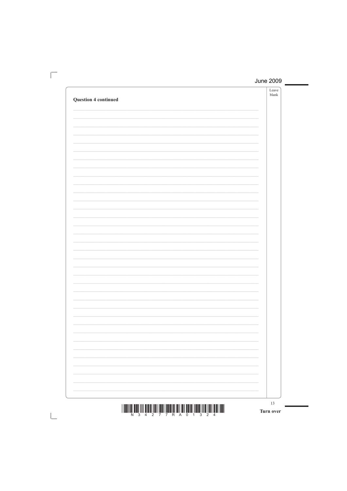| <b>Question 4 continued</b> | Leave<br>blank |
|-----------------------------|----------------|
|                             |                |
|                             |                |
|                             |                |
|                             |                |
|                             |                |
|                             |                |
|                             |                |
|                             |                |
|                             |                |
|                             |                |
|                             |                |
|                             |                |
|                             |                |
|                             |                |
|                             |                |
|                             |                |
|                             |                |
|                             |                |
|                             |                |
|                             |                |

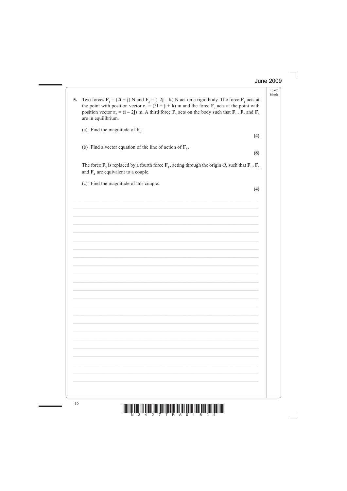Leave blank



7 7 R A 0 1 6 2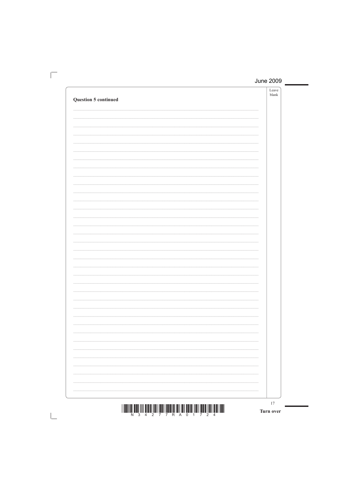| <b>Question 5 continued</b> | Leave<br>$\ensuremath{\textrm{blank}}$ |
|-----------------------------|----------------------------------------|
|                             |                                        |
|                             |                                        |
|                             |                                        |
|                             |                                        |
|                             |                                        |
|                             |                                        |
|                             |                                        |
|                             |                                        |
|                             |                                        |
|                             |                                        |
|                             |                                        |
|                             |                                        |
|                             |                                        |
|                             |                                        |
|                             |                                        |
|                             |                                        |
|                             |                                        |
|                             |                                        |
|                             |                                        |
|                             |                                        |
|                             |                                        |
|                             |                                        |
|                             |                                        |
|                             |                                        |
|                             |                                        |
|                             |                                        |
|                             | 17                                     |

Turn over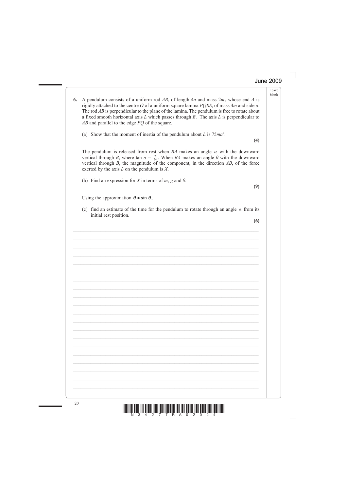Leave blank

- 20  $\frac{20}{N^3}$   $\frac{1}{4}$   $\frac{1}{2}$   $\frac{1}{7}$   $\frac{1}{7}$   $\frac{1}{8}$   $\frac{1}{8}$   $\frac{1}{8}$   $\frac{1}{8}$   $\frac{1}{2}$   $\frac{1}{2}$   $\frac{1}{2}$   $\frac{1}{4}$ exerted by the axis *L* on the pendulum is *X*. (b) Find an expression for *X* in terms of *m*, *g* and  $\theta$ . **(9)** Using the approximation  $\theta \approx \sin \theta$ , initial rest position.  $\mathcal{L}_\mathcal{L} = \mathcal{L}_\mathcal{L} = \mathcal{L}_\mathcal{L} = \mathcal{L}_\mathcal{L} = \mathcal{L}_\mathcal{L} = \mathcal{L}_\mathcal{L} = \mathcal{L}_\mathcal{L} = \mathcal{L}_\mathcal{L} = \mathcal{L}_\mathcal{L} = \mathcal{L}_\mathcal{L} = \mathcal{L}_\mathcal{L} = \mathcal{L}_\mathcal{L} = \mathcal{L}_\mathcal{L} = \mathcal{L}_\mathcal{L} = \mathcal{L}_\mathcal{L} = \mathcal{L}_\mathcal{L} = \mathcal{L}_\mathcal{L}$  $\mathcal{L}_\mathcal{L} = \mathcal{L}_\mathcal{L} = \mathcal{L}_\mathcal{L} = \mathcal{L}_\mathcal{L} = \mathcal{L}_\mathcal{L} = \mathcal{L}_\mathcal{L} = \mathcal{L}_\mathcal{L} = \mathcal{L}_\mathcal{L} = \mathcal{L}_\mathcal{L} = \mathcal{L}_\mathcal{L} = \mathcal{L}_\mathcal{L} = \mathcal{L}_\mathcal{L} = \mathcal{L}_\mathcal{L} = \mathcal{L}_\mathcal{L} = \mathcal{L}_\mathcal{L} = \mathcal{L}_\mathcal{L} = \mathcal{L}_\mathcal{L}$  $\mathcal{L}_\mathcal{L} = \mathcal{L}_\mathcal{L} = \mathcal{L}_\mathcal{L} = \mathcal{L}_\mathcal{L} = \mathcal{L}_\mathcal{L} = \mathcal{L}_\mathcal{L} = \mathcal{L}_\mathcal{L} = \mathcal{L}_\mathcal{L} = \mathcal{L}_\mathcal{L} = \mathcal{L}_\mathcal{L} = \mathcal{L}_\mathcal{L} = \mathcal{L}_\mathcal{L} = \mathcal{L}_\mathcal{L} = \mathcal{L}_\mathcal{L} = \mathcal{L}_\mathcal{L} = \mathcal{L}_\mathcal{L} = \mathcal{L}_\mathcal{L}$ \_\_\_\_\_\_\_\_\_\_\_\_\_\_\_\_\_\_\_\_\_\_\_\_\_\_\_\_\_\_\_\_\_\_\_\_\_\_\_\_\_\_\_\_\_\_\_\_\_\_\_\_\_\_\_\_\_\_\_\_\_\_\_\_\_\_\_\_\_\_\_\_\_\_\_  $\mathcal{L}_\mathcal{L} = \mathcal{L}_\mathcal{L} = \mathcal{L}_\mathcal{L} = \mathcal{L}_\mathcal{L} = \mathcal{L}_\mathcal{L} = \mathcal{L}_\mathcal{L} = \mathcal{L}_\mathcal{L} = \mathcal{L}_\mathcal{L} = \mathcal{L}_\mathcal{L} = \mathcal{L}_\mathcal{L} = \mathcal{L}_\mathcal{L} = \mathcal{L}_\mathcal{L} = \mathcal{L}_\mathcal{L} = \mathcal{L}_\mathcal{L} = \mathcal{L}_\mathcal{L} = \mathcal{L}_\mathcal{L} = \mathcal{L}_\mathcal{L}$ \_\_\_\_\_\_\_\_\_\_\_\_\_\_\_\_\_\_\_\_\_\_\_\_\_\_\_\_\_\_\_\_\_\_\_\_\_\_\_\_\_\_\_\_\_\_\_\_\_\_\_\_\_\_\_\_\_\_\_\_\_\_\_\_\_\_\_\_\_\_\_\_\_\_\_ \_\_\_\_\_\_\_\_\_\_\_\_\_\_\_\_\_\_\_\_\_\_\_\_\_\_\_\_\_\_\_\_\_\_\_\_\_\_\_\_\_\_\_\_\_\_\_\_\_\_\_\_\_\_\_\_\_\_\_\_\_\_\_\_\_\_\_\_\_\_\_\_\_\_\_ \_\_\_\_\_\_\_\_\_\_\_\_\_\_\_\_\_\_\_\_\_\_\_\_\_\_\_\_\_\_\_\_\_\_\_\_\_\_\_\_\_\_\_\_\_\_\_\_\_\_\_\_\_\_\_\_\_\_\_\_\_\_\_\_\_\_\_\_\_\_\_\_\_\_\_ \_\_\_\_\_\_\_\_\_\_\_\_\_\_\_\_\_\_\_\_\_\_\_\_\_\_\_\_\_\_\_\_\_\_\_\_\_\_\_\_\_\_\_\_\_\_\_\_\_\_\_\_\_\_\_\_\_\_\_\_\_\_\_\_\_\_\_\_\_\_\_\_\_\_\_
- **6.** A pendulum consists of a uniform rod *AB*, of length 4*a* and mass 2*m* , whose end *A* is rigidly attached to the centre *O* of a uniform square lamina *PQRS*, of mass 4*m* and side *a*. The rod *AB* is perpendicular to the plane of the lamina. The pendulum is free to rotate about a fixed smooth horizontal axis *L* which passes through *B*. The axis *L* is perpendicular to *AB* and parallel to the edge *PQ* of the square.
	- (a) Show that the moment of inertia of the pendulum about *L* is 75*ma*2.

 The pendulum is released from rest when *BA* makes an angle *α* with the downward vertical through *B*, where tan  $\alpha = \frac{7}{24}$ . When *BA* makes an angle  $\theta$  with the downward vertical through *B*, the magnitude of the component, in the direction *AB*, of the force

(c) find an estimate of the time for the pendulum to rotate through an angle *α* from its

**(6)**

**(4)**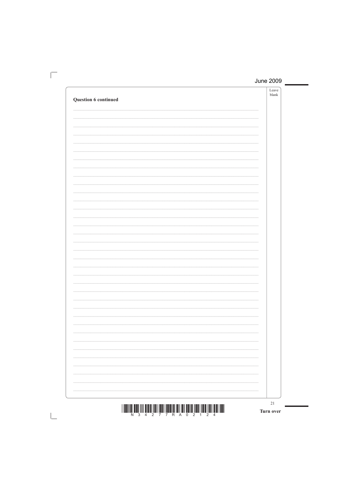| Question 6 continued                                                                                     | Leave<br>${\tt blank}$ |
|----------------------------------------------------------------------------------------------------------|------------------------|
|                                                                                                          |                        |
|                                                                                                          |                        |
|                                                                                                          |                        |
|                                                                                                          |                        |
|                                                                                                          |                        |
|                                                                                                          |                        |
|                                                                                                          |                        |
|                                                                                                          |                        |
|                                                                                                          |                        |
|                                                                                                          |                        |
|                                                                                                          |                        |
|                                                                                                          |                        |
|                                                                                                          |                        |
|                                                                                                          |                        |
|                                                                                                          |                        |
|                                                                                                          |                        |
|                                                                                                          |                        |
|                                                                                                          |                        |
| $\pm$ 100011101 0000 11111 01010 11011 10011 100011 1000110 1011 1011 00110 11010 11010 11011 01011 1001 | 21                     |

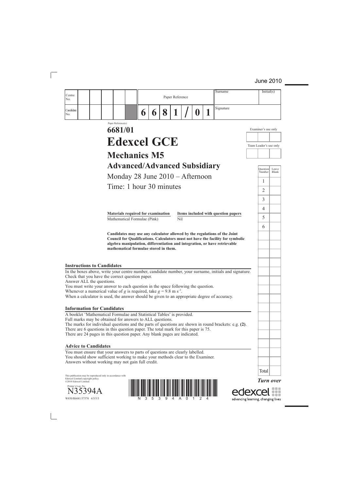| Centre                                                                                                                                                                                                                                                                                                                                                                                                                                                                                           |                                       |   |   |   |                 |   | Surname                                                                                                                                                                                                                                    |                                    | Initial(s)       |       |
|--------------------------------------------------------------------------------------------------------------------------------------------------------------------------------------------------------------------------------------------------------------------------------------------------------------------------------------------------------------------------------------------------------------------------------------------------------------------------------------------------|---------------------------------------|---|---|---|-----------------|---|--------------------------------------------------------------------------------------------------------------------------------------------------------------------------------------------------------------------------------------------|------------------------------------|------------------|-------|
| No.                                                                                                                                                                                                                                                                                                                                                                                                                                                                                              |                                       |   |   |   | Paper Reference |   |                                                                                                                                                                                                                                            |                                    |                  |       |
| Candidate<br>No.                                                                                                                                                                                                                                                                                                                                                                                                                                                                                 |                                       | 6 | 6 | 8 | 1               | 0 | Signature                                                                                                                                                                                                                                  |                                    |                  |       |
|                                                                                                                                                                                                                                                                                                                                                                                                                                                                                                  | Paper Reference(s)                    |   |   |   |                 |   |                                                                                                                                                                                                                                            |                                    |                  |       |
|                                                                                                                                                                                                                                                                                                                                                                                                                                                                                                  | 6681/01                               |   |   |   |                 |   |                                                                                                                                                                                                                                            | Examiner's use only                |                  |       |
|                                                                                                                                                                                                                                                                                                                                                                                                                                                                                                  | <b>Edexcel GCE</b>                    |   |   |   |                 |   |                                                                                                                                                                                                                                            | Team Leader's use only             |                  |       |
|                                                                                                                                                                                                                                                                                                                                                                                                                                                                                                  | <b>Mechanics M5</b>                   |   |   |   |                 |   |                                                                                                                                                                                                                                            |                                    |                  |       |
|                                                                                                                                                                                                                                                                                                                                                                                                                                                                                                  | <b>Advanced/Advanced Subsidiary</b>   |   |   |   |                 |   |                                                                                                                                                                                                                                            |                                    | <b>Question</b>  | Leave |
|                                                                                                                                                                                                                                                                                                                                                                                                                                                                                                  | Monday 28 June 2010 - Afternoon       |   |   |   |                 |   |                                                                                                                                                                                                                                            |                                    | Number           | Blank |
|                                                                                                                                                                                                                                                                                                                                                                                                                                                                                                  | Time: 1 hour 30 minutes               |   |   |   |                 |   |                                                                                                                                                                                                                                            |                                    | 1<br>2           |       |
|                                                                                                                                                                                                                                                                                                                                                                                                                                                                                                  |                                       |   |   |   |                 |   |                                                                                                                                                                                                                                            |                                    | 3                |       |
|                                                                                                                                                                                                                                                                                                                                                                                                                                                                                                  |                                       |   |   |   |                 |   |                                                                                                                                                                                                                                            |                                    | 4                |       |
|                                                                                                                                                                                                                                                                                                                                                                                                                                                                                                  | Materials required for examination    |   |   |   |                 |   | Items included with question papers                                                                                                                                                                                                        |                                    | 5                |       |
|                                                                                                                                                                                                                                                                                                                                                                                                                                                                                                  | Mathematical Formulae (Pink)          |   |   |   | Nil             |   |                                                                                                                                                                                                                                            |                                    | 6                |       |
|                                                                                                                                                                                                                                                                                                                                                                                                                                                                                                  | mathematical formulae stored in them. |   |   |   |                 |   | Candidates may use any calculator allowed by the regulations of the Joint<br>Council for Qualifications. Calculators must not have the facility for symbolic<br>algebra manipulation, differentiation and integration, or have retrievable |                                    |                  |       |
| <b>Instructions to Candidates</b><br>In the boxes above, write your centre number, candidate number, your surname, initials and signature.<br>Check that you have the correct question paper.<br>Answer ALL the questions.<br>You must write your answer to each question in the space following the question.<br>Whenever a numerical value of g is required, take $g = 9.8$ m s <sup>-2</sup> .<br>When a calculator is used, the answer should be given to an appropriate degree of accuracy. |                                       |   |   |   |                 |   |                                                                                                                                                                                                                                            |                                    |                  |       |
| <b>Information for Candidates</b>                                                                                                                                                                                                                                                                                                                                                                                                                                                                |                                       |   |   |   |                 |   |                                                                                                                                                                                                                                            |                                    |                  |       |
| A booklet 'Mathematical Formulae and Statistical Tables' is provided.<br>Full marks may be obtained for answers to ALL questions.<br>The marks for individual questions and the parts of questions are shown in round brackets: e.g. (2).<br>There are 6 questions in this question paper. The total mark for this paper is 75.<br>There are 24 pages in this question paper. Any blank pages are indicated.                                                                                     |                                       |   |   |   |                 |   |                                                                                                                                                                                                                                            |                                    |                  |       |
| <b>Advice to Candidates</b>                                                                                                                                                                                                                                                                                                                                                                                                                                                                      |                                       |   |   |   |                 |   |                                                                                                                                                                                                                                            |                                    |                  |       |
| You must ensure that your answers to parts of questions are clearly labelled.<br>You should show sufficient working to make your methods clear to the Examiner.<br>Answers without working may not gain full credit.                                                                                                                                                                                                                                                                             |                                       |   |   |   |                 |   |                                                                                                                                                                                                                                            |                                    |                  |       |
|                                                                                                                                                                                                                                                                                                                                                                                                                                                                                                  |                                       |   |   |   |                 |   |                                                                                                                                                                                                                                            |                                    | Total            |       |
| This publication may be reproduced only in accordance with<br>Edexcel Limited copyright policy.<br>©2010 Edexcel Limited.<br>Printer's Log. No.<br>W850/R6681/57570 4/5/5/3                                                                                                                                                                                                                                                                                                                      |                                       |   |   |   |                 |   |                                                                                                                                                                                                                                            | advancing learning, changing lives | <b>Turn over</b> |       |

advancing learning, changing lives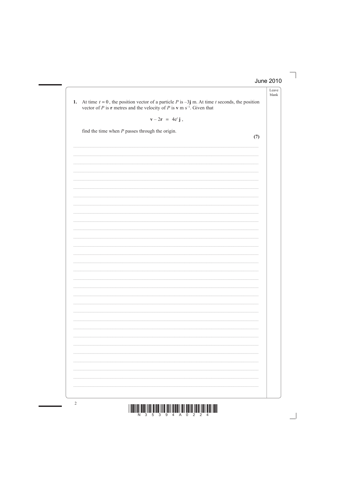$\overline{\phantom{a}}$ 

| At time $t = 0$ , the position vector of a particle P is $-3j$ m. At time t seconds, the position<br>1.<br>vector of P is <b>r</b> metres and the velocity of P is <b>v</b> m s <sup>-1</sup> . Given that |     |
|------------------------------------------------------------------------------------------------------------------------------------------------------------------------------------------------------------|-----|
| $\mathbf{v} - 2\mathbf{r} = 4\mathbf{e}^t \mathbf{j}$ ,                                                                                                                                                    |     |
| find the time when $P$ passes through the origin.                                                                                                                                                          | (7) |
|                                                                                                                                                                                                            |     |
|                                                                                                                                                                                                            |     |
|                                                                                                                                                                                                            |     |
|                                                                                                                                                                                                            |     |
|                                                                                                                                                                                                            |     |
|                                                                                                                                                                                                            |     |
|                                                                                                                                                                                                            |     |
|                                                                                                                                                                                                            |     |
|                                                                                                                                                                                                            |     |
|                                                                                                                                                                                                            |     |
|                                                                                                                                                                                                            |     |
|                                                                                                                                                                                                            |     |
|                                                                                                                                                                                                            |     |
|                                                                                                                                                                                                            |     |
|                                                                                                                                                                                                            |     |
|                                                                                                                                                                                                            |     |
|                                                                                                                                                                                                            |     |
|                                                                                                                                                                                                            |     |
|                                                                                                                                                                                                            |     |
|                                                                                                                                                                                                            |     |
|                                                                                                                                                                                                            |     |
|                                                                                                                                                                                                            |     |
|                                                                                                                                                                                                            |     |

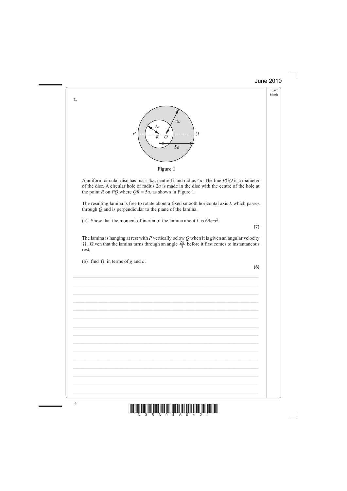Leave blank



**Figure 1**

A uniform circular disc has mass 4*m*, centre *O* and radius 4*a*. The line *POQ* is a diameter of the disc. A circular hole of radius 2*a* is made in the disc with the centre of the hole at the point *R* on *PQ* where  $QR = 5a$ , as shown in Figure 1.

 The resulting lamina is free to rotate about a fixed smooth horizontal axis *L* which passes through *Q* and is perpendicular to the plane of the lamina.

(a) Show that the moment of inertia of the lamina about *L* is 69*ma*<sup>2</sup> .

**(7)**

 The lamina is hanging at rest with *P* vertically below *Q* when it is given an angular velocity Ω. Given that the lamina turns through an angle  $\frac{2\pi}{3}$  before it first comes to instantaneous rest,

 $\mathcal{L}_\mathcal{L} = \mathcal{L}_\mathcal{L} = \mathcal{L}_\mathcal{L} = \mathcal{L}_\mathcal{L} = \mathcal{L}_\mathcal{L} = \mathcal{L}_\mathcal{L} = \mathcal{L}_\mathcal{L} = \mathcal{L}_\mathcal{L} = \mathcal{L}_\mathcal{L} = \mathcal{L}_\mathcal{L} = \mathcal{L}_\mathcal{L} = \mathcal{L}_\mathcal{L} = \mathcal{L}_\mathcal{L} = \mathcal{L}_\mathcal{L} = \mathcal{L}_\mathcal{L} = \mathcal{L}_\mathcal{L} = \mathcal{L}_\mathcal{L}$ 

\_\_\_\_\_\_\_\_\_\_\_\_\_\_\_\_\_\_\_\_\_\_\_\_\_\_\_\_\_\_\_\_\_\_\_\_\_\_\_\_\_\_\_\_\_\_\_\_\_\_\_\_\_\_\_\_\_\_\_\_\_\_\_\_\_\_\_\_\_\_\_\_\_\_\_

\_\_\_\_\_\_\_\_\_\_\_\_\_\_\_\_\_\_\_\_\_\_\_\_\_\_\_\_\_\_\_\_\_\_\_\_\_\_\_\_\_\_\_\_\_\_\_\_\_\_\_\_\_\_\_\_\_\_\_\_\_\_\_\_\_\_\_\_\_\_\_\_\_\_\_

\_\_\_\_\_\_\_\_\_\_\_\_\_\_\_\_\_\_\_\_\_\_\_\_\_\_\_\_\_\_\_\_\_\_\_\_\_\_\_\_\_\_\_\_\_\_\_\_\_\_\_\_\_\_\_\_\_\_\_\_\_\_\_\_\_\_\_\_\_\_\_\_\_\_\_

\_\_\_\_\_\_\_\_\_\_\_\_\_\_\_\_\_\_\_\_\_\_\_\_\_\_\_\_\_\_\_\_\_\_\_\_\_\_\_\_\_\_\_\_\_\_\_\_\_\_\_\_\_\_\_\_\_\_\_\_\_\_\_\_\_\_\_\_\_\_\_\_\_\_\_

\_\_\_\_\_\_\_\_\_\_\_\_\_\_\_\_\_\_\_\_\_\_\_\_\_\_\_\_\_\_\_\_\_\_\_\_\_\_\_\_\_\_\_\_\_\_\_\_\_\_\_\_\_\_\_\_\_\_\_\_\_\_\_\_\_\_\_\_\_\_\_\_\_\_\_

(b) find  $\Omega$  in terms of *g* and *a*.

**(6)**



**2.**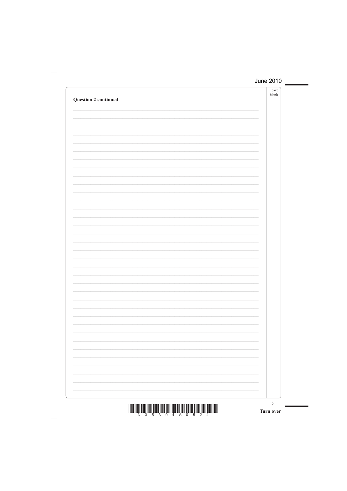|                             | Leave |
|-----------------------------|-------|
|                             | blank |
| <b>Question 2 continued</b> |       |
|                             |       |
|                             |       |
|                             |       |
|                             |       |
|                             |       |
|                             |       |
|                             |       |
|                             |       |
|                             |       |
|                             |       |
|                             |       |
|                             |       |
|                             |       |
|                             |       |
|                             |       |
|                             |       |
|                             |       |
|                             |       |
|                             |       |
|                             |       |
|                             |       |
|                             |       |
|                             |       |
|                             |       |
|                             |       |
|                             |       |
|                             |       |
|                             |       |
|                             |       |
|                             |       |
|                             |       |
|                             |       |
|                             |       |
|                             |       |
|                             |       |
|                             |       |
|                             |       |
|                             |       |
|                             |       |
|                             |       |
|                             |       |
|                             |       |
|                             |       |
|                             |       |
|                             |       |
|                             |       |
|                             |       |
|                             |       |
|                             |       |
|                             |       |
|                             |       |
|                             |       |
|                             |       |
|                             |       |
|                             |       |
|                             |       |
|                             |       |
|                             |       |
|                             |       |
|                             |       |
|                             |       |
|                             |       |
|                             |       |
|                             |       |
|                             |       |
|                             |       |
|                             |       |
|                             |       |
|                             |       |
|                             |       |
|                             |       |
|                             |       |
|                             |       |

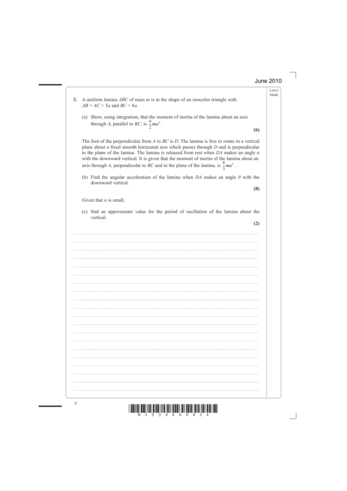Leave blank

**3.** A uniform lamina *ABC* of mass *m* is in the shape of an isosceles triangle with  $AB = AC = 5a$  and  $BC = 8a$ . (a) Show, using integration, that the moment of inertia of the lamina about an axis through *A*, parallel to *BC*, is  $\frac{9}{2}$  $ma^2$ . **(6)** The foot of the perpendicular from *A* to *BC* is *D*. The lamina is free to rotate in a vertical plane about a fixed smooth horizontal axis which passes through *D* and is perpendicular to the plane of the lamina. The lamina is released from rest when *DA* makes an angle *α* with the downward vertical. It is given that the moment of inertia of the lamina about an axis through *A*, perpendicular to *BC* and in the plane of the lamina, is  $\frac{8}{3}$  $ma<sup>2</sup>$ . (b) Find the angular acceleration of the lamina when *DA* makes an angle *θ* with the downward vertical. **(8)**  Given that  $\alpha$  is small, (c) find an approximate value for the period of oscillation of the lamina about the vertical. **(2)**  $\mathcal{L}_\mathcal{L} = \mathcal{L}_\mathcal{L} = \mathcal{L}_\mathcal{L} = \mathcal{L}_\mathcal{L} = \mathcal{L}_\mathcal{L} = \mathcal{L}_\mathcal{L} = \mathcal{L}_\mathcal{L} = \mathcal{L}_\mathcal{L} = \mathcal{L}_\mathcal{L} = \mathcal{L}_\mathcal{L} = \mathcal{L}_\mathcal{L} = \mathcal{L}_\mathcal{L} = \mathcal{L}_\mathcal{L} = \mathcal{L}_\mathcal{L} = \mathcal{L}_\mathcal{L} = \mathcal{L}_\mathcal{L} = \mathcal{L}_\mathcal{L}$  $\mathcal{L}_\mathcal{L} = \mathcal{L}_\mathcal{L} = \mathcal{L}_\mathcal{L} = \mathcal{L}_\mathcal{L} = \mathcal{L}_\mathcal{L} = \mathcal{L}_\mathcal{L} = \mathcal{L}_\mathcal{L} = \mathcal{L}_\mathcal{L} = \mathcal{L}_\mathcal{L} = \mathcal{L}_\mathcal{L} = \mathcal{L}_\mathcal{L} = \mathcal{L}_\mathcal{L} = \mathcal{L}_\mathcal{L} = \mathcal{L}_\mathcal{L} = \mathcal{L}_\mathcal{L} = \mathcal{L}_\mathcal{L} = \mathcal{L}_\mathcal{L}$ \_\_\_\_\_\_\_\_\_\_\_\_\_\_\_\_\_\_\_\_\_\_\_\_\_\_\_\_\_\_\_\_\_\_\_\_\_\_\_\_\_\_\_\_\_\_\_\_\_\_\_\_\_\_\_\_\_\_\_\_\_\_\_\_\_\_\_\_\_\_\_\_\_\_\_ \_\_\_\_\_\_\_\_\_\_\_\_\_\_\_\_\_\_\_\_\_\_\_\_\_\_\_\_\_\_\_\_\_\_\_\_\_\_\_\_\_\_\_\_\_\_\_\_\_\_\_\_\_\_\_\_\_\_\_\_\_\_\_\_\_\_\_\_\_\_\_\_\_\_\_ \_\_\_\_\_\_\_\_\_\_\_\_\_\_\_\_\_\_\_\_\_\_\_\_\_\_\_\_\_\_\_\_\_\_\_\_\_\_\_\_\_\_\_\_\_\_\_\_\_\_\_\_\_\_\_\_\_\_\_\_\_\_\_\_\_\_\_\_\_\_\_\_\_\_\_ \_\_\_\_\_\_\_\_\_\_\_\_\_\_\_\_\_\_\_\_\_\_\_\_\_\_\_\_\_\_\_\_\_\_\_\_\_\_\_\_\_\_\_\_\_\_\_\_\_\_\_\_\_\_\_\_\_\_\_\_\_\_\_\_\_\_\_\_\_\_\_\_\_\_\_ \_\_\_\_\_\_\_\_\_\_\_\_\_\_\_\_\_\_\_\_\_\_\_\_\_\_\_\_\_\_\_\_\_\_\_\_\_\_\_\_\_\_\_\_\_\_\_\_\_\_\_\_\_\_\_\_\_\_\_\_\_\_\_\_\_\_\_\_\_\_\_\_\_\_\_

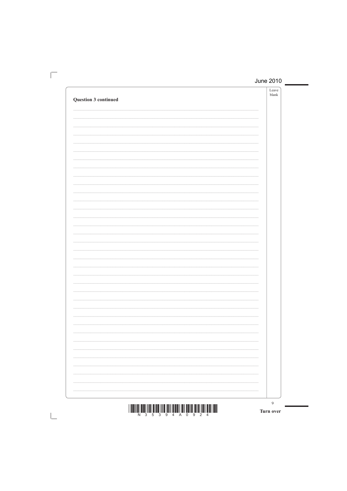| Question 3 continued | Leave<br>blank |
|----------------------|----------------|
|                      |                |
|                      |                |
|                      |                |
|                      |                |
|                      |                |
|                      |                |
|                      |                |
|                      |                |
|                      |                |
|                      |                |
|                      |                |
|                      |                |
|                      |                |
|                      |                |
|                      |                |
|                      |                |
|                      |                |
|                      |                |
|                      |                |
|                      |                |
|                      |                |
|                      |                |
|                      |                |
|                      |                |

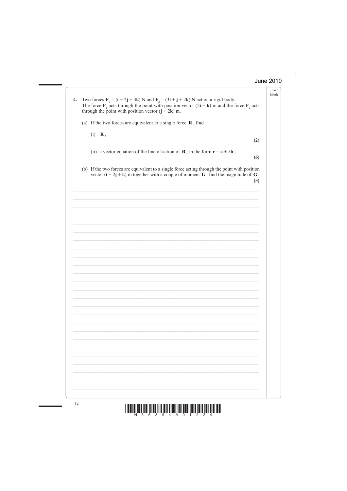| Two forces $\mathbf{F}_1 = (\mathbf{i} + 2\mathbf{j} + 3\mathbf{k})$ N and $\mathbf{F}_2 = (3\mathbf{i} + \mathbf{j} + 2\mathbf{k})$ N act on a rigid body.<br>The force $\mathbf{F}_1$ acts through the point with position vector $(2\mathbf{i} + \mathbf{k})$ m and the force $\mathbf{F}_2$ acts<br>through the point with position vector $(j + 2k)$ m. |     |
|--------------------------------------------------------------------------------------------------------------------------------------------------------------------------------------------------------------------------------------------------------------------------------------------------------------------------------------------------------------|-----|
| (a) If the two forces are equivalent to a single force $\bf{R}$ , find                                                                                                                                                                                                                                                                                       |     |
| $(i)$ <b>R</b> ,                                                                                                                                                                                                                                                                                                                                             | (2) |
| (ii) a vector equation of the line of action of <b>R</b> , in the form $\mathbf{r} = \mathbf{a} + \lambda \mathbf{b}$ .                                                                                                                                                                                                                                      | (6) |
| (b) If the two forces are equivalent to a single force acting through the point with position<br>vector $(i + 2j + k)$ m together with a couple of moment G, find the magnitude of G.                                                                                                                                                                        | (5) |
|                                                                                                                                                                                                                                                                                                                                                              |     |
|                                                                                                                                                                                                                                                                                                                                                              |     |
|                                                                                                                                                                                                                                                                                                                                                              |     |
|                                                                                                                                                                                                                                                                                                                                                              |     |
|                                                                                                                                                                                                                                                                                                                                                              |     |
|                                                                                                                                                                                                                                                                                                                                                              |     |
|                                                                                                                                                                                                                                                                                                                                                              |     |
|                                                                                                                                                                                                                                                                                                                                                              |     |
|                                                                                                                                                                                                                                                                                                                                                              |     |
|                                                                                                                                                                                                                                                                                                                                                              |     |
|                                                                                                                                                                                                                                                                                                                                                              |     |
|                                                                                                                                                                                                                                                                                                                                                              |     |
|                                                                                                                                                                                                                                                                                                                                                              |     |

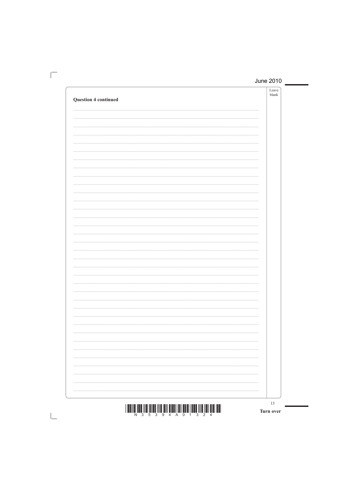| <b>Question 4 continued</b> | Leave<br>${\tt blank}$ |
|-----------------------------|------------------------|
|                             |                        |
|                             |                        |
|                             |                        |
|                             |                        |
|                             |                        |
|                             |                        |
|                             |                        |
|                             |                        |
|                             |                        |
|                             |                        |
|                             |                        |
|                             |                        |
|                             |                        |
|                             |                        |
|                             |                        |
|                             |                        |
|                             |                        |
|                             | 13                     |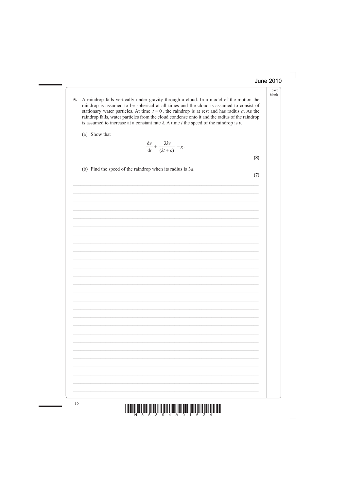- Leave blank
- A raindrop falls vertically under gravity through a cloud. In a model of the motion the 5. raindrop is assumed to be spherical at all times and the cloud is assumed to consist of stationary water particles. At time  $t = 0$ , the raindrop is at rest and has radius a. As the raindrop falls, water particles from the cloud condense onto it and the radius of the raindrop is assumed to increase at a constant rate  $\lambda$ . A time t the speed of the raindrop is  $\nu$ .
	- (a) Show that

$$
\frac{\mathrm{d}v}{\mathrm{d}t} + \frac{3\lambda v}{(\lambda t + a)} = g.
$$

 $(8)$ 

 $(7)$ 

(b) Find the speed of the raindrop when its radius is  $3a$ .

16

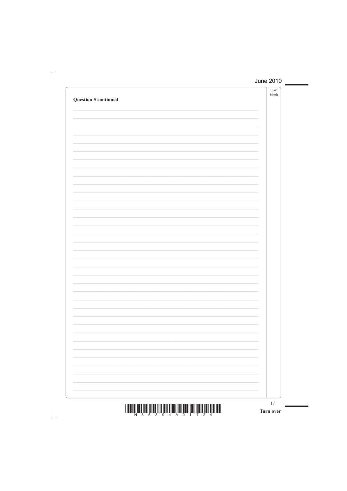| <b>Question 5 continued</b> | Leave<br>${\tt blank}$ |
|-----------------------------|------------------------|
|                             |                        |
|                             |                        |
|                             |                        |
|                             |                        |
|                             |                        |
|                             |                        |
|                             |                        |
|                             |                        |
|                             |                        |
|                             |                        |
|                             |                        |
|                             |                        |
|                             |                        |
|                             |                        |
|                             |                        |
|                             |                        |
|                             |                        |
|                             |                        |
|                             |                        |
|                             | 17                     |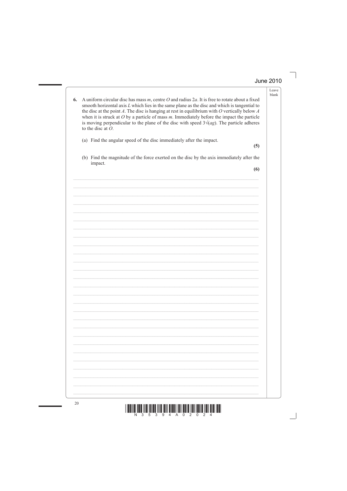| 6. | A uniform circular disc has mass $m$ , centre $O$ and radius $2a$ . It is free to rotate about a fixed<br>smooth horizontal axis $L$ which lies in the same plane as the disc and which is tangential to<br>the disc at the point $A$ . The disc is hanging at rest in equilibrium with $O$ vertically below $A$<br>when it is struck at $O$ by a particle of mass $m$ . Immediately before the impact the particle<br>is moving perpendicular to the plane of the disc with speed $3\sqrt{ag}$ . The particle adheres<br>to the disc at $O$ . |     |
|----|------------------------------------------------------------------------------------------------------------------------------------------------------------------------------------------------------------------------------------------------------------------------------------------------------------------------------------------------------------------------------------------------------------------------------------------------------------------------------------------------------------------------------------------------|-----|
|    | (a) Find the angular speed of the disc immediately after the impact.                                                                                                                                                                                                                                                                                                                                                                                                                                                                           | (5) |
|    | (b) Find the magnitude of the force exerted on the disc by the axis immediately after the<br>impact.                                                                                                                                                                                                                                                                                                                                                                                                                                           | (6) |
|    |                                                                                                                                                                                                                                                                                                                                                                                                                                                                                                                                                |     |
|    |                                                                                                                                                                                                                                                                                                                                                                                                                                                                                                                                                |     |
|    |                                                                                                                                                                                                                                                                                                                                                                                                                                                                                                                                                |     |
|    |                                                                                                                                                                                                                                                                                                                                                                                                                                                                                                                                                |     |
|    |                                                                                                                                                                                                                                                                                                                                                                                                                                                                                                                                                |     |
|    |                                                                                                                                                                                                                                                                                                                                                                                                                                                                                                                                                |     |
|    |                                                                                                                                                                                                                                                                                                                                                                                                                                                                                                                                                |     |
|    |                                                                                                                                                                                                                                                                                                                                                                                                                                                                                                                                                |     |
|    |                                                                                                                                                                                                                                                                                                                                                                                                                                                                                                                                                |     |
|    |                                                                                                                                                                                                                                                                                                                                                                                                                                                                                                                                                |     |
|    |                                                                                                                                                                                                                                                                                                                                                                                                                                                                                                                                                |     |
|    |                                                                                                                                                                                                                                                                                                                                                                                                                                                                                                                                                |     |
|    |                                                                                                                                                                                                                                                                                                                                                                                                                                                                                                                                                |     |
|    |                                                                                                                                                                                                                                                                                                                                                                                                                                                                                                                                                |     |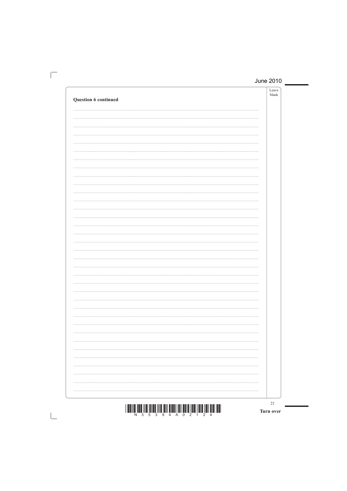| Question 6 continued | Leave<br>${\tt blank}$ |
|----------------------|------------------------|
|                      |                        |
|                      |                        |
|                      |                        |
|                      |                        |
|                      |                        |
|                      |                        |
|                      |                        |
|                      |                        |
|                      |                        |
|                      |                        |
|                      |                        |
|                      |                        |
|                      |                        |
|                      |                        |
|                      |                        |
|                      |                        |
|                      | $21\,$                 |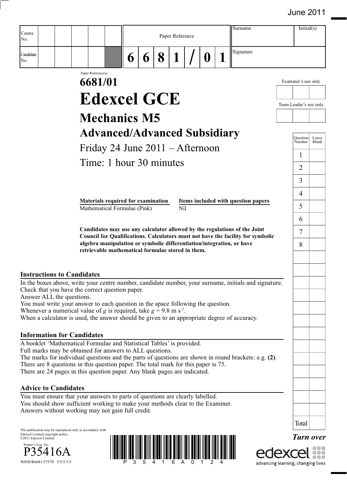| Centre<br>No.                                                                                                                                                                                                                                                                                                                                                                                                |                                                                                                                            |   |   |   | Paper Reference  |   | Surname                                                                                                                                                      |                                    | Initial(s)         |                |
|--------------------------------------------------------------------------------------------------------------------------------------------------------------------------------------------------------------------------------------------------------------------------------------------------------------------------------------------------------------------------------------------------------------|----------------------------------------------------------------------------------------------------------------------------|---|---|---|------------------|---|--------------------------------------------------------------------------------------------------------------------------------------------------------------|------------------------------------|--------------------|----------------|
| Candidate<br>No.                                                                                                                                                                                                                                                                                                                                                                                             |                                                                                                                            | 6 | 6 | 8 |                  | 0 | Signature                                                                                                                                                    |                                    |                    |                |
|                                                                                                                                                                                                                                                                                                                                                                                                              | Paper Reference(s)<br>6681/01                                                                                              |   |   |   |                  |   |                                                                                                                                                              | Examiner's use only                |                    |                |
|                                                                                                                                                                                                                                                                                                                                                                                                              | <b>Edexcel GCE</b>                                                                                                         |   |   |   |                  |   |                                                                                                                                                              |                                    |                    |                |
|                                                                                                                                                                                                                                                                                                                                                                                                              |                                                                                                                            |   |   |   |                  |   |                                                                                                                                                              | Team Leader's use only             |                    |                |
|                                                                                                                                                                                                                                                                                                                                                                                                              | <b>Mechanics M5</b>                                                                                                        |   |   |   |                  |   |                                                                                                                                                              |                                    |                    |                |
|                                                                                                                                                                                                                                                                                                                                                                                                              | <b>Advanced/Advanced Subsidiary</b>                                                                                        |   |   |   |                  |   |                                                                                                                                                              |                                    | Ouestion<br>Number | Leave<br>Blank |
|                                                                                                                                                                                                                                                                                                                                                                                                              | Friday 24 June $2011 -$ Afternoon                                                                                          |   |   |   |                  |   |                                                                                                                                                              | 1                                  |                    |                |
|                                                                                                                                                                                                                                                                                                                                                                                                              | Time: 1 hour 30 minutes                                                                                                    |   |   |   |                  |   |                                                                                                                                                              | $\overline{2}$                     |                    |                |
|                                                                                                                                                                                                                                                                                                                                                                                                              |                                                                                                                            |   |   |   |                  |   |                                                                                                                                                              | 3                                  |                    |                |
|                                                                                                                                                                                                                                                                                                                                                                                                              |                                                                                                                            |   |   |   |                  |   |                                                                                                                                                              | 4                                  |                    |                |
|                                                                                                                                                                                                                                                                                                                                                                                                              | Materials required for examination<br>Mathematical Formulae (Pink)                                                         |   |   |   | N <sub>i</sub> l |   | Items included with question papers                                                                                                                          | 5                                  |                    |                |
|                                                                                                                                                                                                                                                                                                                                                                                                              |                                                                                                                            |   |   |   |                  |   |                                                                                                                                                              | 6                                  |                    |                |
|                                                                                                                                                                                                                                                                                                                                                                                                              | algebra manipulation or symbolic differentiation/integration, or have<br>retrievable mathematical formulae stored in them. |   |   |   |                  |   | Candidates may use any calculator allowed by the regulations of the Joint<br>Council for Qualifications. Calculators must not have the facility for symbolic | 7<br>8                             |                    |                |
| <b>Instructions to Candidates</b><br>In the boxes above, write your centre number, candidate number, your surname, initials and signature.<br>Check that you have the correct question paper.                                                                                                                                                                                                                |                                                                                                                            |   |   |   |                  |   |                                                                                                                                                              |                                    |                    |                |
| Answer ALL the questions.<br>You must write your answer to each question in the space following the question.<br>Whenever a numerical value of g is required, take $g = 9.8$ m s <sup>-2</sup> .<br>When a calculator is used, the answer should be given to an appropriate degree of accuracy.                                                                                                              |                                                                                                                            |   |   |   |                  |   |                                                                                                                                                              |                                    |                    |                |
| <b>Information for Candidates</b>                                                                                                                                                                                                                                                                                                                                                                            |                                                                                                                            |   |   |   |                  |   |                                                                                                                                                              |                                    |                    |                |
| A booklet 'Mathematical Formulae and Statistical Tables' is provided.<br>Full marks may be obtained for answers to ALL questions.<br>The marks for individual questions and the parts of questions are shown in round brackets: e.g. (2).<br>There are 8 questions in this question paper. The total mark for this paper is 75.<br>There are 24 pages in this question paper. Any blank pages are indicated. |                                                                                                                            |   |   |   |                  |   |                                                                                                                                                              |                                    |                    |                |
| <b>Advice to Candidates</b>                                                                                                                                                                                                                                                                                                                                                                                  |                                                                                                                            |   |   |   |                  |   |                                                                                                                                                              |                                    |                    |                |
| You must ensure that your answers to parts of questions are clearly labelled.<br>You should show sufficient working to make your methods clear to the Examiner.<br>Answers without working may not gain full credit.                                                                                                                                                                                         |                                                                                                                            |   |   |   |                  |   |                                                                                                                                                              |                                    |                    |                |
|                                                                                                                                                                                                                                                                                                                                                                                                              |                                                                                                                            |   |   |   |                  |   |                                                                                                                                                              | Total                              |                    |                |
| This publication may be reproduced only in accordance with<br>Edexcel Limited copyright policy.<br>©2011 Edexcel Limited.<br>Printer's Log. No.<br>P35416A<br>W850/R6681/57570 5/5/5/3/3                                                                                                                                                                                                                     |                                                                                                                            |   |   |   |                  |   |                                                                                                                                                              | advancing learning, changing lives | <b>Turn over</b>   |                |

advancing learning, changing lives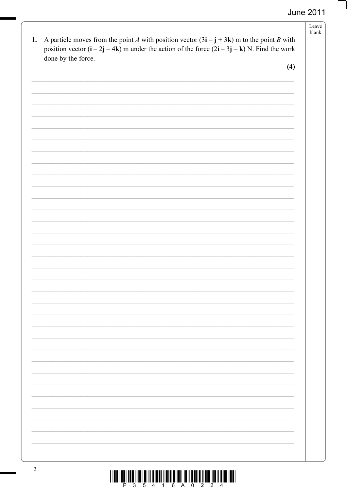| position vector $(i - 2j - 4k)$ m under the action of the force $(2i - 3j - k)$ N. Find the work<br>done by the force. | (4) |
|------------------------------------------------------------------------------------------------------------------------|-----|
|                                                                                                                        |     |
|                                                                                                                        |     |
|                                                                                                                        |     |
|                                                                                                                        |     |
|                                                                                                                        |     |
|                                                                                                                        |     |
|                                                                                                                        |     |
|                                                                                                                        |     |
|                                                                                                                        |     |
|                                                                                                                        |     |
|                                                                                                                        |     |
|                                                                                                                        |     |
|                                                                                                                        |     |
|                                                                                                                        |     |
|                                                                                                                        |     |
|                                                                                                                        |     |
|                                                                                                                        |     |
|                                                                                                                        |     |
|                                                                                                                        |     |
|                                                                                                                        |     |
|                                                                                                                        |     |
|                                                                                                                        |     |
|                                                                                                                        |     |
|                                                                                                                        |     |
|                                                                                                                        |     |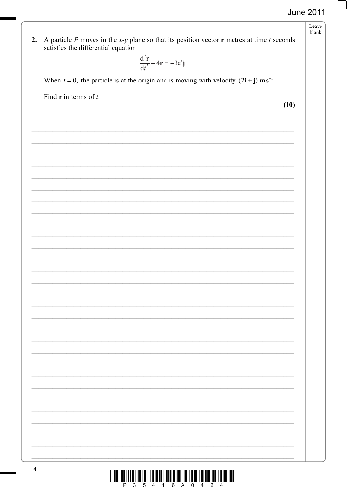Leave blank

A particle  $P$  moves in the  $x$ -y plane so that its position vector  $\bf{r}$  metres at time  $t$  seconds  $2.$ satisfies the differential equation

$$
\frac{\mathrm{d}^2 \mathbf{r}}{\mathrm{d}t^2} - 4\mathbf{r} = -3\mathrm{e}^t \mathbf{j}
$$

When  $t = 0$ , the particle is at the origin and is moving with velocity  $(2i + j)$  ms<sup>-1</sup>.

Find  $\bf{r}$  in terms of  $t$ .

 $(10)$ 

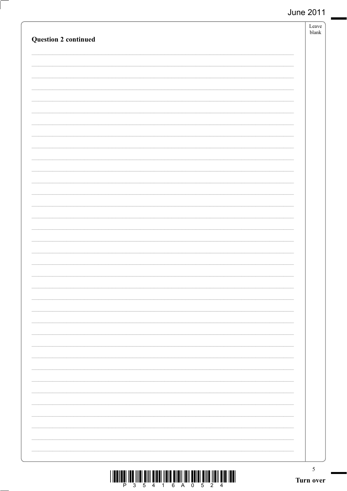| <b>Question 2 continued</b> |                          | Leave<br>${\tt blank}$ |
|-----------------------------|--------------------------|------------------------|
|                             |                          |                        |
|                             |                          |                        |
|                             |                          |                        |
|                             |                          |                        |
|                             |                          |                        |
|                             |                          |                        |
|                             |                          |                        |
|                             |                          |                        |
|                             |                          |                        |
|                             |                          |                        |
|                             |                          |                        |
|                             |                          |                        |
|                             |                          |                        |
|                             |                          |                        |
|                             |                          |                        |
|                             | $\overline{\phantom{0}}$ |                        |

- $\overline{\phantom{a}}$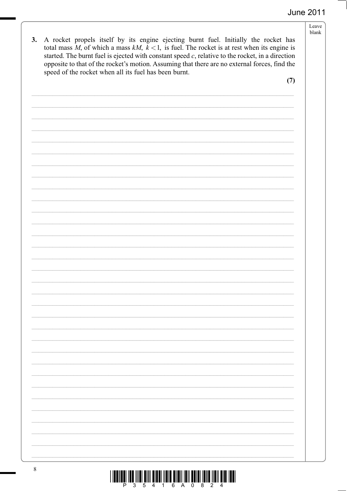- Leave blank
- 3. A rocket propels itself by its engine ejecting burnt fuel. Initially the rocket has total mass M, of which a mass kM,  $k < 1$ , is fuel. The rocket is at rest when its engine is started. The burnt fuel is ejected with constant speed  $c$ , relative to the rocket, in a direction opposite to that of the rocket's motion. Assuming that there are no external forces, find the speed of the rocket when all its fuel has been burnt.

 $(7)$ 

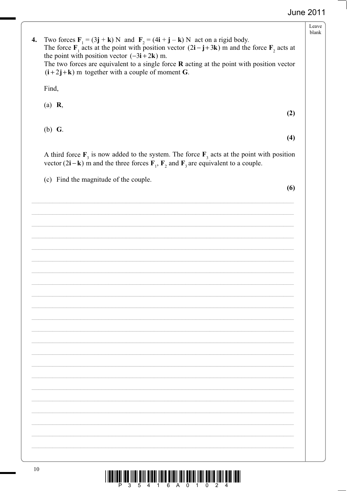$(6)$ 

| 4. | Two forces $\mathbf{F}_1 = (3\mathbf{j} + \mathbf{k}) N$ and $\mathbf{F}_2 = (4\mathbf{i} + \mathbf{j} - \mathbf{k}) N$ act on a rigid body.                                                                                                                                                             | Leave<br>blank |
|----|----------------------------------------------------------------------------------------------------------------------------------------------------------------------------------------------------------------------------------------------------------------------------------------------------------|----------------|
|    | The force $\mathbf{F}_1$ acts at the point with position vector $(2\mathbf{i} - \mathbf{j} + 3\mathbf{k})$ m and the force $\mathbf{F}_2$ acts at<br>the point with position vector $(-3i + 2k)$ m.<br>The two forces are equivalent to a single force $\bf{R}$ acting at the point with position vector |                |
|    | $(i+2j+k)$ m together with a couple of moment G.<br>Find,                                                                                                                                                                                                                                                |                |
|    | R,<br>(a)<br>(2)                                                                                                                                                                                                                                                                                         |                |
|    | $(b)$ G.<br>(4)                                                                                                                                                                                                                                                                                          |                |
|    | A third force $F_3$ is now added to the system. The force $F_3$ acts at the point with position<br>vector $(2\mathbf{i} - \mathbf{k})$ m and the three forces $\mathbf{F}_1$ , $\mathbf{F}_2$ and $\mathbf{F}_3$ are equivalent to a couple.                                                             |                |
|    | Find the magnitude of the couple.<br>(c)                                                                                                                                                                                                                                                                 |                |

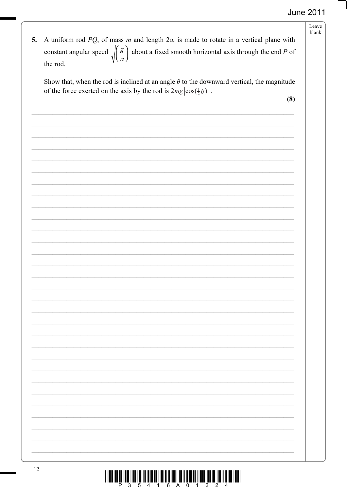| 5. | A uniform rod $PQ$ , of mass m and length $2a$ , is made to rotate in a vertical plane with<br>constant angular speed $\sqrt{\left(\frac{g}{a}\right)}$ about a fixed smooth horizontal axis through the end P of<br>the rod. | Leave<br>blank |
|----|-------------------------------------------------------------------------------------------------------------------------------------------------------------------------------------------------------------------------------|----------------|
|    | Show that, when the rod is inclined at an angle $\theta$ to the downward vertical, the magnitude<br>of the force exerted on the axis by the rod is $2mg \cos(\frac{1}{2}\theta) $ .<br>(8)                                    |                |
|    |                                                                                                                                                                                                                               |                |
|    |                                                                                                                                                                                                                               |                |
|    |                                                                                                                                                                                                                               |                |
|    |                                                                                                                                                                                                                               |                |
|    |                                                                                                                                                                                                                               |                |
|    |                                                                                                                                                                                                                               |                |
|    |                                                                                                                                                                                                                               |                |
|    |                                                                                                                                                                                                                               |                |
| 12 |                                                                                                                                                                                                                               |                |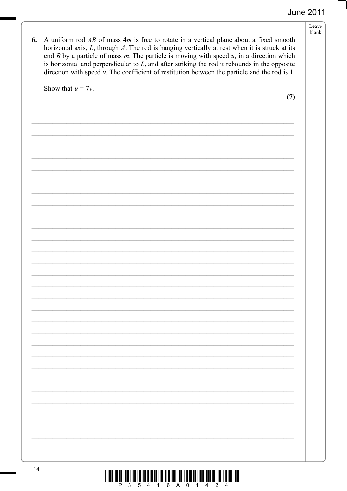| A uniform rod $AB$ of mass $4m$ is free to rotate in a vertical plane about a fixed smooth<br>6.<br>horizontal axis, $L$ , through $A$ . The rod is hanging vertically at rest when it is struck at its<br>end $B$ by a particle of mass $m$ . The particle is moving with speed $u$ , in a direction which<br>is horizontal and perpendicular to $L$ , and after striking the rod it rebounds in the opposite<br>direction with speed $v$ . The coefficient of restitution between the particle and the rod is 1. |     |
|--------------------------------------------------------------------------------------------------------------------------------------------------------------------------------------------------------------------------------------------------------------------------------------------------------------------------------------------------------------------------------------------------------------------------------------------------------------------------------------------------------------------|-----|
| Show that $u = 7v$ .                                                                                                                                                                                                                                                                                                                                                                                                                                                                                               | (7) |
|                                                                                                                                                                                                                                                                                                                                                                                                                                                                                                                    |     |
|                                                                                                                                                                                                                                                                                                                                                                                                                                                                                                                    |     |
|                                                                                                                                                                                                                                                                                                                                                                                                                                                                                                                    |     |
|                                                                                                                                                                                                                                                                                                                                                                                                                                                                                                                    |     |
|                                                                                                                                                                                                                                                                                                                                                                                                                                                                                                                    |     |
|                                                                                                                                                                                                                                                                                                                                                                                                                                                                                                                    |     |
|                                                                                                                                                                                                                                                                                                                                                                                                                                                                                                                    |     |
|                                                                                                                                                                                                                                                                                                                                                                                                                                                                                                                    |     |
|                                                                                                                                                                                                                                                                                                                                                                                                                                                                                                                    |     |
|                                                                                                                                                                                                                                                                                                                                                                                                                                                                                                                    |     |
|                                                                                                                                                                                                                                                                                                                                                                                                                                                                                                                    |     |
|                                                                                                                                                                                                                                                                                                                                                                                                                                                                                                                    |     |
|                                                                                                                                                                                                                                                                                                                                                                                                                                                                                                                    |     |
|                                                                                                                                                                                                                                                                                                                                                                                                                                                                                                                    |     |
|                                                                                                                                                                                                                                                                                                                                                                                                                                                                                                                    |     |
|                                                                                                                                                                                                                                                                                                                                                                                                                                                                                                                    |     |
|                                                                                                                                                                                                                                                                                                                                                                                                                                                                                                                    |     |
|                                                                                                                                                                                                                                                                                                                                                                                                                                                                                                                    |     |
|                                                                                                                                                                                                                                                                                                                                                                                                                                                                                                                    |     |
|                                                                                                                                                                                                                                                                                                                                                                                                                                                                                                                    |     |
|                                                                                                                                                                                                                                                                                                                                                                                                                                                                                                                    |     |
|                                                                                                                                                                                                                                                                                                                                                                                                                                                                                                                    |     |
|                                                                                                                                                                                                                                                                                                                                                                                                                                                                                                                    |     |
|                                                                                                                                                                                                                                                                                                                                                                                                                                                                                                                    |     |

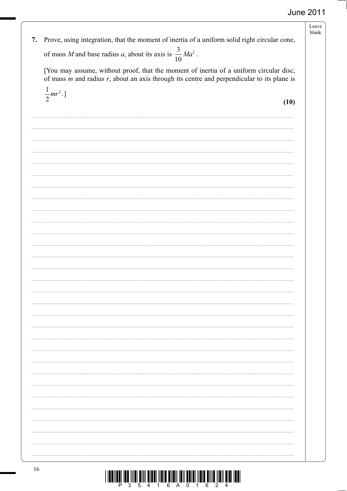Leave blank 7. Prove, using integration, that the moment of inertia of a uniform solid right circular cone, of mass M and base radius a, about its axis is  $\frac{3}{10}Ma^2$ . [You may assume, without proof, that the moment of inertia of a uniform circular disc, of mass  $m$  and radius  $r$ , about an axis through its centre and perpendicular to its plane is  $\frac{1}{2}mr^2$ .]  $(10)$ 16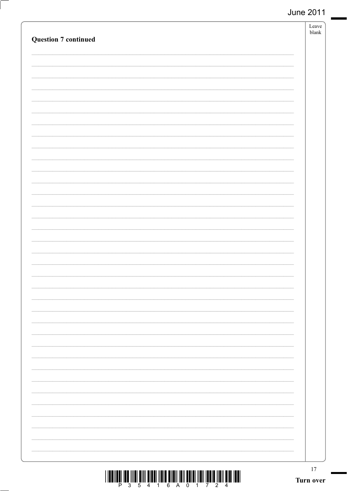| <b>Question 7 continued</b> | Leave<br>blank |
|-----------------------------|----------------|

- $\overline{\phantom{a}}$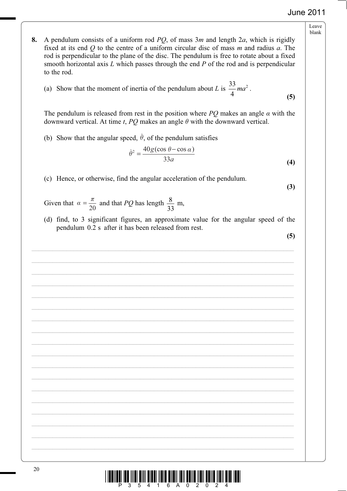- Leave blank
- **8.** A pendulum consists of a uniform rod *PQ*, of mass 3*m* and length 2*a*, which is rigidly fixed at its end *Q* to the centre of a uniform circular disc of mass *m* and radius *a*. The rod is perpendicular to the plane of the disc. The pendulum is free to rotate about a fixed smooth horizontal axis *L* which passes through the end *P* of the rod and is perpendicular to the rod.
- (a) Show that the moment of inertia of the pendulum about *L* is  $\frac{33}{4}$ 4  $ma^2$  . **(5)**

The pendulum is released from rest in the position where *PQ* makes an angle  $\alpha$  with the downward vertical. At time  $t$ ,  $PQ$  makes an angle  $\theta$  with the downward vertical.

(b) Show that the angular speed,  $\dot{\theta}$ , of the pendulum satisfies

$$
\dot{\theta}^2 = \frac{40g(\cos\theta - \cos\alpha)}{33a} \tag{4}
$$

(c) Hence, or otherwise, find the angular acceleration of the pendulum.

**(3)**

- Given that  $\alpha = \frac{\pi}{20}$  and that *PQ* has length  $\frac{8}{33}$  m,
	- (d) find, to 3 significant figures, an approximate value for the angular speed of the pendulum 0.2 s after it has been released from rest.

 $\mathcal{L}_\mathcal{L} = \{ \mathcal{L}_\mathcal{L} = \{ \mathcal{L}_\mathcal{L} = \{ \mathcal{L}_\mathcal{L} = \{ \mathcal{L}_\mathcal{L} = \{ \mathcal{L}_\mathcal{L} = \{ \mathcal{L}_\mathcal{L} = \{ \mathcal{L}_\mathcal{L} = \{ \mathcal{L}_\mathcal{L} = \{ \mathcal{L}_\mathcal{L} = \{ \mathcal{L}_\mathcal{L} = \{ \mathcal{L}_\mathcal{L} = \{ \mathcal{L}_\mathcal{L} = \{ \mathcal{L}_\mathcal{L} = \{ \mathcal{L}_\mathcal{$ 

 $\mathcal{L}_\mathcal{L} = \{ \mathcal{L}_\mathcal{L} = \{ \mathcal{L}_\mathcal{L} = \{ \mathcal{L}_\mathcal{L} = \{ \mathcal{L}_\mathcal{L} = \{ \mathcal{L}_\mathcal{L} = \{ \mathcal{L}_\mathcal{L} = \{ \mathcal{L}_\mathcal{L} = \{ \mathcal{L}_\mathcal{L} = \{ \mathcal{L}_\mathcal{L} = \{ \mathcal{L}_\mathcal{L} = \{ \mathcal{L}_\mathcal{L} = \{ \mathcal{L}_\mathcal{L} = \{ \mathcal{L}_\mathcal{L} = \{ \mathcal{L}_\mathcal{$ 

 $\mathcal{L}_\mathcal{L} = \{ \mathcal{L}_\mathcal{L} = \{ \mathcal{L}_\mathcal{L} = \{ \mathcal{L}_\mathcal{L} = \{ \mathcal{L}_\mathcal{L} = \{ \mathcal{L}_\mathcal{L} = \{ \mathcal{L}_\mathcal{L} = \{ \mathcal{L}_\mathcal{L} = \{ \mathcal{L}_\mathcal{L} = \{ \mathcal{L}_\mathcal{L} = \{ \mathcal{L}_\mathcal{L} = \{ \mathcal{L}_\mathcal{L} = \{ \mathcal{L}_\mathcal{L} = \{ \mathcal{L}_\mathcal{L} = \{ \mathcal{L}_\mathcal{$ 

 $\mathcal{L}_\mathcal{L} = \{ \mathcal{L}_\mathcal{L} = \{ \mathcal{L}_\mathcal{L} = \{ \mathcal{L}_\mathcal{L} = \{ \mathcal{L}_\mathcal{L} = \{ \mathcal{L}_\mathcal{L} = \{ \mathcal{L}_\mathcal{L} = \{ \mathcal{L}_\mathcal{L} = \{ \mathcal{L}_\mathcal{L} = \{ \mathcal{L}_\mathcal{L} = \{ \mathcal{L}_\mathcal{L} = \{ \mathcal{L}_\mathcal{L} = \{ \mathcal{L}_\mathcal{L} = \{ \mathcal{L}_\mathcal{L} = \{ \mathcal{L}_\mathcal{$ 

 $\mathcal{L}_\mathcal{L} = \{ \mathcal{L}_\mathcal{L} = \{ \mathcal{L}_\mathcal{L} = \{ \mathcal{L}_\mathcal{L} = \{ \mathcal{L}_\mathcal{L} = \{ \mathcal{L}_\mathcal{L} = \{ \mathcal{L}_\mathcal{L} = \{ \mathcal{L}_\mathcal{L} = \{ \mathcal{L}_\mathcal{L} = \{ \mathcal{L}_\mathcal{L} = \{ \mathcal{L}_\mathcal{L} = \{ \mathcal{L}_\mathcal{L} = \{ \mathcal{L}_\mathcal{L} = \{ \mathcal{L}_\mathcal{L} = \{ \mathcal{L}_\mathcal{$ 

 $\mathcal{L}_\mathcal{L} = \{ \mathcal{L}_\mathcal{L} = \{ \mathcal{L}_\mathcal{L} = \{ \mathcal{L}_\mathcal{L} = \{ \mathcal{L}_\mathcal{L} = \{ \mathcal{L}_\mathcal{L} = \{ \mathcal{L}_\mathcal{L} = \{ \mathcal{L}_\mathcal{L} = \{ \mathcal{L}_\mathcal{L} = \{ \mathcal{L}_\mathcal{L} = \{ \mathcal{L}_\mathcal{L} = \{ \mathcal{L}_\mathcal{L} = \{ \mathcal{L}_\mathcal{L} = \{ \mathcal{L}_\mathcal{L} = \{ \mathcal{L}_\mathcal{$ 

 $\mathcal{L}_\mathcal{L} = \{ \mathcal{L}_\mathcal{L} = \{ \mathcal{L}_\mathcal{L} = \{ \mathcal{L}_\mathcal{L} = \{ \mathcal{L}_\mathcal{L} = \{ \mathcal{L}_\mathcal{L} = \{ \mathcal{L}_\mathcal{L} = \{ \mathcal{L}_\mathcal{L} = \{ \mathcal{L}_\mathcal{L} = \{ \mathcal{L}_\mathcal{L} = \{ \mathcal{L}_\mathcal{L} = \{ \mathcal{L}_\mathcal{L} = \{ \mathcal{L}_\mathcal{L} = \{ \mathcal{L}_\mathcal{L} = \{ \mathcal{L}_\mathcal{$ 

 $\mathcal{L}_\mathcal{L} = \{ \mathcal{L}_\mathcal{L} = \{ \mathcal{L}_\mathcal{L} = \{ \mathcal{L}_\mathcal{L} = \{ \mathcal{L}_\mathcal{L} = \{ \mathcal{L}_\mathcal{L} = \{ \mathcal{L}_\mathcal{L} = \{ \mathcal{L}_\mathcal{L} = \{ \mathcal{L}_\mathcal{L} = \{ \mathcal{L}_\mathcal{L} = \{ \mathcal{L}_\mathcal{L} = \{ \mathcal{L}_\mathcal{L} = \{ \mathcal{L}_\mathcal{L} = \{ \mathcal{L}_\mathcal{L} = \{ \mathcal{L}_\mathcal{$ 

 $\mathcal{L}_\mathcal{L} = \{ \mathcal{L}_\mathcal{L} = \{ \mathcal{L}_\mathcal{L} = \{ \mathcal{L}_\mathcal{L} = \{ \mathcal{L}_\mathcal{L} = \{ \mathcal{L}_\mathcal{L} = \{ \mathcal{L}_\mathcal{L} = \{ \mathcal{L}_\mathcal{L} = \{ \mathcal{L}_\mathcal{L} = \{ \mathcal{L}_\mathcal{L} = \{ \mathcal{L}_\mathcal{L} = \{ \mathcal{L}_\mathcal{L} = \{ \mathcal{L}_\mathcal{L} = \{ \mathcal{L}_\mathcal{L} = \{ \mathcal{L}_\mathcal{$ 

 $\mathcal{L}_\mathcal{L} = \{ \mathcal{L}_\mathcal{L} = \{ \mathcal{L}_\mathcal{L} = \{ \mathcal{L}_\mathcal{L} = \{ \mathcal{L}_\mathcal{L} = \{ \mathcal{L}_\mathcal{L} = \{ \mathcal{L}_\mathcal{L} = \{ \mathcal{L}_\mathcal{L} = \{ \mathcal{L}_\mathcal{L} = \{ \mathcal{L}_\mathcal{L} = \{ \mathcal{L}_\mathcal{L} = \{ \mathcal{L}_\mathcal{L} = \{ \mathcal{L}_\mathcal{L} = \{ \mathcal{L}_\mathcal{L} = \{ \mathcal{L}_\mathcal{$ 

 $\mathcal{L}_\mathcal{L} = \{ \mathcal{L}_\mathcal{L} = \{ \mathcal{L}_\mathcal{L} = \{ \mathcal{L}_\mathcal{L} = \{ \mathcal{L}_\mathcal{L} = \{ \mathcal{L}_\mathcal{L} = \{ \mathcal{L}_\mathcal{L} = \{ \mathcal{L}_\mathcal{L} = \{ \mathcal{L}_\mathcal{L} = \{ \mathcal{L}_\mathcal{L} = \{ \mathcal{L}_\mathcal{L} = \{ \mathcal{L}_\mathcal{L} = \{ \mathcal{L}_\mathcal{L} = \{ \mathcal{L}_\mathcal{L} = \{ \mathcal{L}_\mathcal{$ 

 $\mathcal{L}_\mathcal{L} = \{ \mathcal{L}_\mathcal{L} = \{ \mathcal{L}_\mathcal{L} = \{ \mathcal{L}_\mathcal{L} = \{ \mathcal{L}_\mathcal{L} = \{ \mathcal{L}_\mathcal{L} = \{ \mathcal{L}_\mathcal{L} = \{ \mathcal{L}_\mathcal{L} = \{ \mathcal{L}_\mathcal{L} = \{ \mathcal{L}_\mathcal{L} = \{ \mathcal{L}_\mathcal{L} = \{ \mathcal{L}_\mathcal{L} = \{ \mathcal{L}_\mathcal{L} = \{ \mathcal{L}_\mathcal{L} = \{ \mathcal{L}_\mathcal{$ 

 $\mathcal{L}_\mathcal{L} = \{ \mathcal{L}_\mathcal{L} = \{ \mathcal{L}_\mathcal{L} = \{ \mathcal{L}_\mathcal{L} = \{ \mathcal{L}_\mathcal{L} = \{ \mathcal{L}_\mathcal{L} = \{ \mathcal{L}_\mathcal{L} = \{ \mathcal{L}_\mathcal{L} = \{ \mathcal{L}_\mathcal{L} = \{ \mathcal{L}_\mathcal{L} = \{ \mathcal{L}_\mathcal{L} = \{ \mathcal{L}_\mathcal{L} = \{ \mathcal{L}_\mathcal{L} = \{ \mathcal{L}_\mathcal{L} = \{ \mathcal{L}_\mathcal{$ 

**(5)**

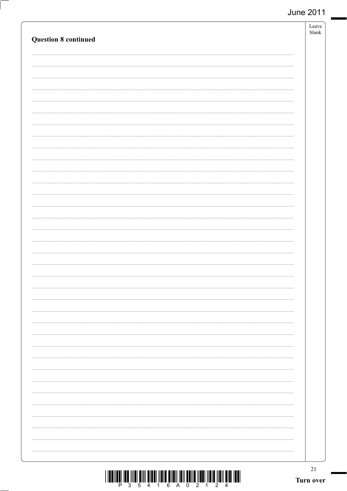| <b>Question 8 continued</b>                                                                                                                                                                                                                                                                                                                                                                                                                                   | Leave<br>blank      |
|---------------------------------------------------------------------------------------------------------------------------------------------------------------------------------------------------------------------------------------------------------------------------------------------------------------------------------------------------------------------------------------------------------------------------------------------------------------|---------------------|
|                                                                                                                                                                                                                                                                                                                                                                                                                                                               |                     |
|                                                                                                                                                                                                                                                                                                                                                                                                                                                               |                     |
|                                                                                                                                                                                                                                                                                                                                                                                                                                                               |                     |
|                                                                                                                                                                                                                                                                                                                                                                                                                                                               |                     |
|                                                                                                                                                                                                                                                                                                                                                                                                                                                               |                     |
|                                                                                                                                                                                                                                                                                                                                                                                                                                                               |                     |
|                                                                                                                                                                                                                                                                                                                                                                                                                                                               |                     |
|                                                                                                                                                                                                                                                                                                                                                                                                                                                               |                     |
|                                                                                                                                                                                                                                                                                                                                                                                                                                                               |                     |
|                                                                                                                                                                                                                                                                                                                                                                                                                                                               |                     |
|                                                                                                                                                                                                                                                                                                                                                                                                                                                               |                     |
|                                                                                                                                                                                                                                                                                                                                                                                                                                                               |                     |
| $\textstyle\frac{1}{2}\cdot\frac{1}{2}\cdot\frac{1}{2}\cdot\frac{1}{2}\cdot\frac{1}{2}\cdot\frac{1}{2}\cdot\frac{1}{4}\cdot\frac{1}{4}\cdot\frac{1}{4}\cdot\frac{1}{4}\cdot\frac{1}{6}\cdot\frac{1}{2}\cdot\frac{1}{2}\cdot\frac{1}{2}\cdot\frac{1}{4}\cdot\frac{1}{4}\cdot\frac{1}{2}\cdot\frac{1}{4}\cdot\frac{1}{4}\cdot\frac{1}{4}\cdot\frac{1}{4}\cdot\frac{1}{4}\cdot\frac{1}{4}\cdot\frac{1}{4}\cdot\frac{1}{4}\cdot\frac{1}{4}\cdot\frac{1}{4}\cdot\$ | $21\,$<br>Turn over |

- $\overline{\phantom{a}}$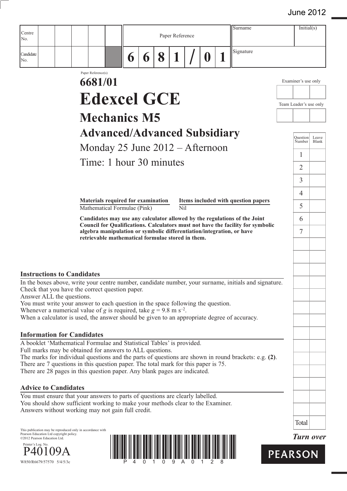| Centre                                                                  |                           |                                                            |                    |                                                                                                                                                                                                                                                                                                      |   |   |   |                         |             | Surname                                                                                                                                                                                              |                        | Initial(s)          |                  |
|-------------------------------------------------------------------------|---------------------------|------------------------------------------------------------|--------------------|------------------------------------------------------------------------------------------------------------------------------------------------------------------------------------------------------------------------------------------------------------------------------------------------------|---|---|---|-------------------------|-------------|------------------------------------------------------------------------------------------------------------------------------------------------------------------------------------------------------|------------------------|---------------------|------------------|
| No.                                                                     |                           |                                                            |                    |                                                                                                                                                                                                                                                                                                      |   |   |   | Paper Reference         |             |                                                                                                                                                                                                      |                        |                     |                  |
| Candidate<br>No.                                                        |                           |                                                            |                    |                                                                                                                                                                                                                                                                                                      | 6 | 6 | 8 |                         | $\mathbf 0$ | Signature                                                                                                                                                                                            |                        |                     |                  |
|                                                                         |                           |                                                            | Paper Reference(s) |                                                                                                                                                                                                                                                                                                      |   |   |   |                         |             |                                                                                                                                                                                                      |                        |                     |                  |
|                                                                         |                           |                                                            | 6681/01            |                                                                                                                                                                                                                                                                                                      |   |   |   |                         |             |                                                                                                                                                                                                      |                        | Examiner's use only |                  |
|                                                                         |                           |                                                            |                    | <b>Edexcel GCE</b>                                                                                                                                                                                                                                                                                   |   |   |   |                         |             |                                                                                                                                                                                                      | Team Leader's use only |                     |                  |
|                                                                         |                           |                                                            |                    | <b>Mechanics M5</b>                                                                                                                                                                                                                                                                                  |   |   |   |                         |             |                                                                                                                                                                                                      |                        |                     |                  |
|                                                                         |                           |                                                            |                    | <b>Advanced/Advanced Subsidiary</b>                                                                                                                                                                                                                                                                  |   |   |   |                         |             |                                                                                                                                                                                                      |                        | <b>Question</b>     | Leave            |
|                                                                         |                           |                                                            |                    | Monday 25 June $2012 -$ Afternoon                                                                                                                                                                                                                                                                    |   |   |   |                         |             |                                                                                                                                                                                                      |                        | Number              | Blank            |
|                                                                         |                           |                                                            |                    | Time: 1 hour 30 minutes                                                                                                                                                                                                                                                                              |   |   |   |                         |             |                                                                                                                                                                                                      |                        | 1                   |                  |
|                                                                         |                           |                                                            |                    |                                                                                                                                                                                                                                                                                                      |   |   |   |                         |             |                                                                                                                                                                                                      |                        | $\overline{2}$      |                  |
|                                                                         |                           |                                                            |                    |                                                                                                                                                                                                                                                                                                      |   |   |   |                         |             |                                                                                                                                                                                                      |                        | 3<br>4              |                  |
|                                                                         |                           |                                                            |                    | Materials required for examination<br>Mathematical Formulae (Pink)                                                                                                                                                                                                                                   |   |   |   | $\overline{\text{Nil}}$ |             | Items included with question papers                                                                                                                                                                  |                        | 5                   |                  |
|                                                                         |                           |                                                            |                    |                                                                                                                                                                                                                                                                                                      |   |   |   |                         |             | Candidates may use any calculator allowed by the regulations of the Joint                                                                                                                            |                        | 6                   |                  |
|                                                                         |                           |                                                            |                    |                                                                                                                                                                                                                                                                                                      |   |   |   |                         |             | Council for Qualifications. Calculators must not have the facility for symbolic<br>algebra manipulation or symbolic differentiation/integration, or have                                             |                        | 7                   |                  |
|                                                                         |                           |                                                            |                    | retrievable mathematical formulae stored in them.                                                                                                                                                                                                                                                    |   |   |   |                         |             |                                                                                                                                                                                                      |                        |                     |                  |
|                                                                         |                           |                                                            |                    |                                                                                                                                                                                                                                                                                                      |   |   |   |                         |             |                                                                                                                                                                                                      |                        |                     |                  |
| <b>Instructions to Candidates</b>                                       |                           | Answer ALL the questions.                                  |                    | Check that you have the correct question paper.<br>You must write your answer to each question in the space following the question.<br>Whenever a numerical value of g is required, take $g = 9.8$ m s <sup>-2</sup> .                                                                               |   |   |   |                         |             | In the boxes above, write your centre number, candidate number, your surname, initials and signature.<br>When a calculator is used, the answer should be given to an appropriate degree of accuracy. |                        |                     |                  |
| <b>Information for Candidates</b>                                       |                           |                                                            |                    | A booklet 'Mathematical Formulae and Statistical Tables' is provided.<br>Full marks may be obtained for answers to ALL questions.<br>There are 7 questions in this question paper. The total mark for this paper is 75.<br>There are 28 pages in this question paper. Any blank pages are indicated. |   |   |   |                         |             | The marks for individual questions and the parts of questions are shown in round brackets: e.g. $(2)$ .                                                                                              |                        |                     |                  |
| <b>Advice to Candidates</b>                                             |                           |                                                            |                    |                                                                                                                                                                                                                                                                                                      |   |   |   |                         |             |                                                                                                                                                                                                      |                        |                     |                  |
|                                                                         |                           |                                                            |                    | You must ensure that your answers to parts of questions are clearly labelled.<br>You should show sufficient working to make your methods clear to the Examiner.<br>Answers without working may not gain full credit.                                                                                 |   |   |   |                         |             |                                                                                                                                                                                                      |                        |                     |                  |
|                                                                         |                           |                                                            |                    |                                                                                                                                                                                                                                                                                                      |   |   |   |                         |             |                                                                                                                                                                                                      |                        | Total               |                  |
| Pearson Education Ltd copyright policy.<br>©2012 Pearson Education Ltd. |                           | This publication may be reproduced only in accordance with |                    |                                                                                                                                                                                                                                                                                                      |   |   |   |                         |             |                                                                                                                                                                                                      |                        |                     | <b>Turn</b> over |
| Printer's Log. No.                                                      | W850/R6679/57570 5/4/5/3c |                                                            |                    |                                                                                                                                                                                                                                                                                                      |   |   |   |                         |             |                                                                                                                                                                                                      | <b>PEARSON</b>         |                     |                  |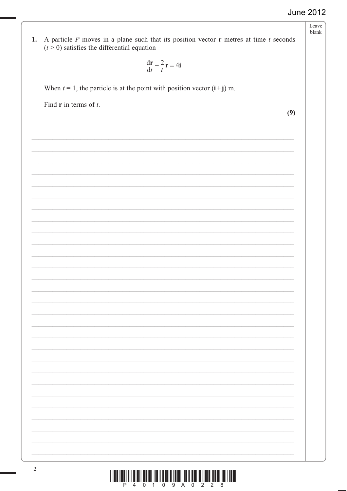# Leave blank **1.** A particle P moves in a plane such that its position vector **r** metres at time  $t$  seconds  $(t > 0)$  satisfies the differential equation  $\frac{d\mathbf{r}}{dt} - \frac{2}{t}\mathbf{r} = 4\mathbf{i}$ When  $t = 1$ , the particle is at the point with position vector  $(i+j)$  m. Find  $\bf{r}$  in terms of *t*.

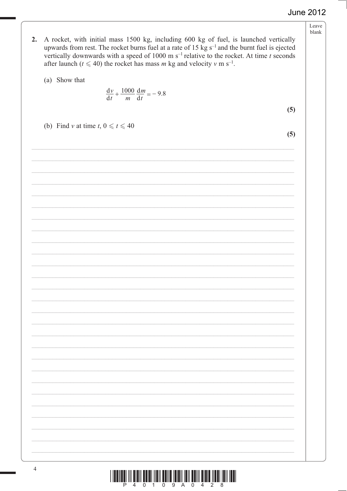- Leave blank
- 2. A rocket, with initial mass 1500 kg, including 600 kg of fuel, is launched vertically upwards from rest. The rocket burns fuel at a rate of 15  $\text{kg s}^{-1}$  and the burnt fuel is ejected vertically downwards with a speed of 1000 m s<sup>-1</sup> relative to the rocket. At time *t* seconds after launch ( $t \le 40$ ) the rocket has mass *m* kg and velocity *v* m s<sup>-1</sup>.
	- $(a)$  Show that

(b) Find *v* at time  $t, 0 \le t \le 40$ 

$$
\frac{\mathrm{d}v}{\mathrm{d}t} + \frac{1000}{m} \frac{\mathrm{d}m}{\mathrm{d}t} = -9.8
$$

\$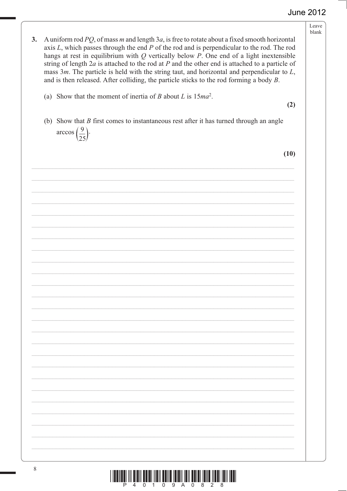|                                                                                                                                                                                                                                                                                                                                                                                                                                                                                                                                                                                                                  | Leave<br>blank |
|------------------------------------------------------------------------------------------------------------------------------------------------------------------------------------------------------------------------------------------------------------------------------------------------------------------------------------------------------------------------------------------------------------------------------------------------------------------------------------------------------------------------------------------------------------------------------------------------------------------|----------------|
| A uniform rod $PQ$ , of mass m and length 3a, is free to rotate about a fixed smooth horizontal<br>3.<br>axis $L$ , which passes through the end $P$ of the rod and is perpendicular to the rod. The rod<br>hangs at rest in equilibrium with $Q$ vertically below $P$ . One end of a light inextensible<br>string of length $2a$ is attached to the rod at $P$ and the other end is attached to a particle of<br>mass $3m$ . The particle is held with the string taut, and horizontal and perpendicular to $L$ ,<br>and is then released. After colliding, the particle sticks to the rod forming a body $B$ . |                |
| (a) Show that the moment of inertia of B about L is $15ma^2$ .                                                                                                                                                                                                                                                                                                                                                                                                                                                                                                                                                   | (2)            |
| (b) Show that $B$ first comes to instantaneous rest after it has turned through an angle<br>$\arccos\left(\frac{9}{25}\right)$ .                                                                                                                                                                                                                                                                                                                                                                                                                                                                                 |                |
|                                                                                                                                                                                                                                                                                                                                                                                                                                                                                                                                                                                                                  | (10)           |
|                                                                                                                                                                                                                                                                                                                                                                                                                                                                                                                                                                                                                  |                |
|                                                                                                                                                                                                                                                                                                                                                                                                                                                                                                                                                                                                                  |                |
|                                                                                                                                                                                                                                                                                                                                                                                                                                                                                                                                                                                                                  |                |
|                                                                                                                                                                                                                                                                                                                                                                                                                                                                                                                                                                                                                  |                |
|                                                                                                                                                                                                                                                                                                                                                                                                                                                                                                                                                                                                                  |                |
|                                                                                                                                                                                                                                                                                                                                                                                                                                                                                                                                                                                                                  |                |
|                                                                                                                                                                                                                                                                                                                                                                                                                                                                                                                                                                                                                  |                |
|                                                                                                                                                                                                                                                                                                                                                                                                                                                                                                                                                                                                                  |                |
|                                                                                                                                                                                                                                                                                                                                                                                                                                                                                                                                                                                                                  |                |
|                                                                                                                                                                                                                                                                                                                                                                                                                                                                                                                                                                                                                  |                |
|                                                                                                                                                                                                                                                                                                                                                                                                                                                                                                                                                                                                                  |                |
|                                                                                                                                                                                                                                                                                                                                                                                                                                                                                                                                                                                                                  |                |
|                                                                                                                                                                                                                                                                                                                                                                                                                                                                                                                                                                                                                  |                |
|                                                                                                                                                                                                                                                                                                                                                                                                                                                                                                                                                                                                                  |                |

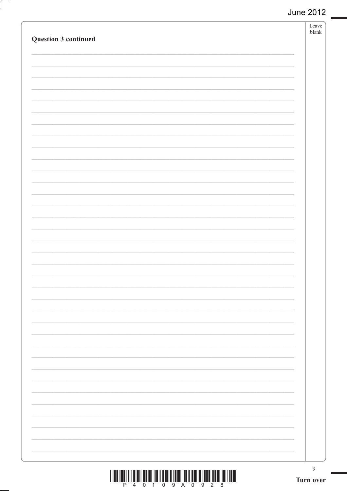| Question 3 continued | Leave<br>${\tt blank}$ |
|----------------------|------------------------|
|                      |                        |
|                      |                        |
|                      |                        |
|                      |                        |
|                      |                        |
|                      |                        |
|                      |                        |
|                      |                        |
|                      |                        |
|                      |                        |
|                      |                        |
|                      |                        |
|                      |                        |
|                      |                        |
|                      |                        |
|                      |                        |
|                      |                        |
|                      |                        |
|                      |                        |
|                      |                        |
|                      | $\overline{9}$         |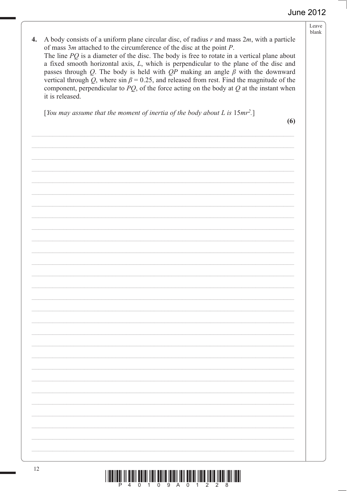Leave blank  $\begin{array}{c} \hline \end{array} \qquad \qquad \begin{array}{c} \hline \end{array} \qquad \qquad \begin{array}{c} \hline \end{array} \qquad \qquad \begin{array}{c} \hline \end{array} \qquad \qquad \begin{array}{c} \hline \end{array} \qquad \qquad \begin{array}{c} \hline \end{array} \qquad \qquad \begin{array}{c} \hline \end{array} \qquad \qquad \begin{array}{c} \hline \end{array} \qquad \qquad \begin{array}{c} \hline \end{array} \qquad \qquad \begin{array}{c} \hline \end{array} \qquad \qquad \begin{array}{c} \hline$ 4. A body consists of a uniform plane circular disc, of radius  $r$  and mass  $2m$ , with a particle of mass 3*m* attached to the circumference of the disc at the point *P*. The line *PQ* is a diameter of the disc. The body is free to rotate in a vertical plane about a fixed smooth horizontal axis, *L*, which is perpendicular to the plane of the disc and passes through Q. The body is held with  $QP$  making an angle  $\beta$  with the downward vertical through Q, where  $\sin \beta = 0.25$ , and released from rest. Find the magnitude of the component, perpendicular to  $PQ$ , of the force acting on the body at  $Q$  at the instant when it is released. [*You may assume that the moment of inertia of the body about L is*  $15mr^2$ .]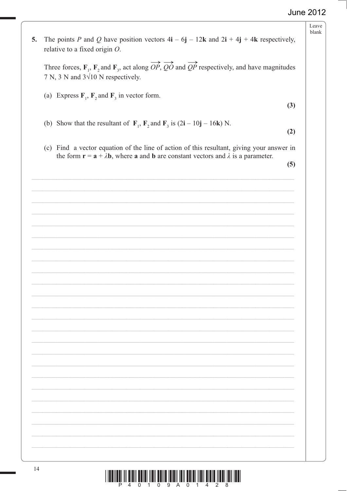Leave  $blank$ 

 $\begin{array}{c} \hline \end{array} \qquad \qquad \begin{array}{c} \hline \end{array} \qquad \qquad \begin{array}{c} \hline \end{array} \qquad \qquad \begin{array}{c} \hline \end{array} \qquad \qquad \begin{array}{c} \hline \end{array} \qquad \qquad \begin{array}{c} \hline \end{array} \qquad \qquad \begin{array}{c} \hline \end{array} \qquad \qquad \begin{array}{c} \hline \end{array} \qquad \qquad \begin{array}{c} \hline \end{array} \qquad \qquad \begin{array}{c} \hline \end{array} \qquad \qquad \begin{array}{c} \hline$ 5. The points P and Q have position vectors  $4\mathbf{i} - 6\mathbf{j} - 12\mathbf{k}$  and  $2\mathbf{i} + 4\mathbf{j} + 4\mathbf{k}$  respectively, relative to a fixed origin  $O$ . Three forces,  $\mathbf{F}_1$ ,  $\mathbf{F}_2$  and  $\mathbf{F}_3$ , act along  $\overrightarrow{OP}$ ,  $\overrightarrow{QO}$  and  $\overrightarrow{QP}$  respectively, and have magnitudes 7 N, 3 N and  $3\sqrt{10}$  N respectively. (a) Express  $\mathbf{F}_1$ ,  $\mathbf{F}_2$  and  $\mathbf{F}_3$  in vector form.  (b) Show that the resultant of  $\mathbf{F}_1$ ,  $\mathbf{F}_2$  and  $\mathbf{F}_3$  is  $(2\mathbf{i} - 10\mathbf{j} - 16\mathbf{k})$  N. (2) (c) Find a vector equation of the line of action of this resultant, giving your answer in the form  $\mathbf{r} = \mathbf{a} + \lambda \mathbf{b}$ , where **a** and **b** are constant vectors and  $\lambda$  is a parameter.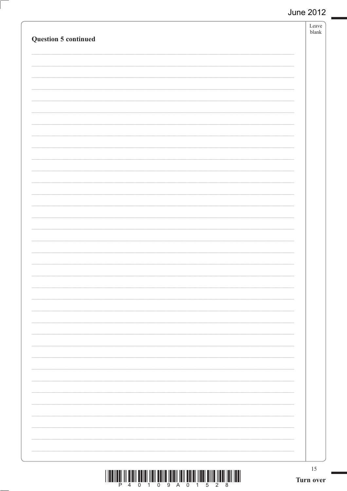| Question 5 continued | Leave<br>${\it blank}$ |
|----------------------|------------------------|
|                      |                        |
|                      |                        |
|                      |                        |
|                      |                        |
|                      |                        |
|                      |                        |
|                      |                        |
|                      |                        |
|                      |                        |
|                      |                        |
|                      |                        |
|                      |                        |
|                      |                        |
|                      |                        |
|                      |                        |
|                      |                        |
|                      |                        |
|                      |                        |
|                      |                        |
|                      |                        |
|                      |                        |
|                      |                        |
|                      |                        |
|                      |                        |
|                      |                        |
|                      |                        |
|                      |                        |
|                      |                        |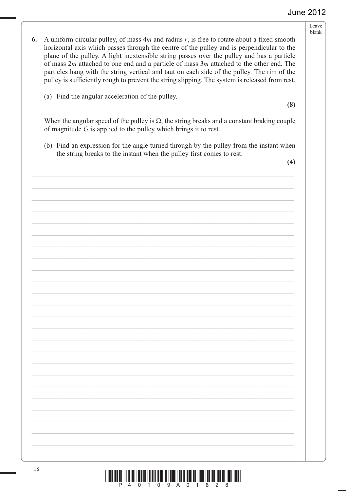Leave blank

- 6. A uniform circular pulley, of mass  $4m$  and radius  $r$ , is free to rotate about a fixed smooth horizontal axis which passes through the centre of the pulley and is perpendicular to the plane of the pulley. A light inextensible string passes over the pulley and has a particle of mass  $2m$  attached to one end and a particle of mass  $3m$  attached to the other end. The particles hang with the string vertical and taut on each side of the pulley. The rim of the pulley is sufficiently rough to prevent the string slipping. The system is released from rest.
	- (a) Find the angular acceleration of the pulley.

 $(8)$ 

When the angular speed of the pulley is  $\Omega$ , the string breaks and a constant braking couple of magnitude  $G$  is applied to the pulley which brings it to rest.

(b) Find an expression for the angle turned through by the pulley from the instant when the string breaks to the instant when the pulley first comes to rest.

 $(4)$ 

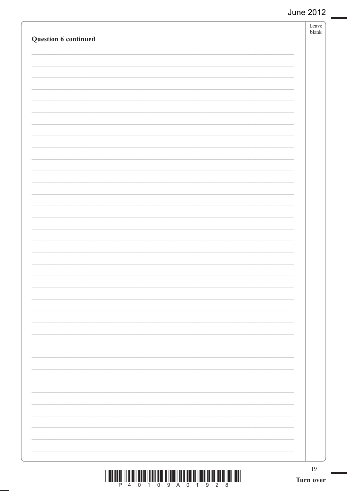| Question 6 continued | Leave<br>${\it blank}$ |
|----------------------|------------------------|
|                      |                        |
|                      |                        |
|                      |                        |
|                      |                        |
|                      |                        |
|                      |                        |
|                      |                        |
|                      |                        |
|                      |                        |
|                      |                        |
|                      |                        |
|                      |                        |
|                      |                        |
|                      |                        |
|                      |                        |
|                      |                        |
|                      |                        |
|                      |                        |
|                      |                        |
|                      |                        |
|                      |                        |
|                      |                        |
|                      |                        |
|                      | 19                     |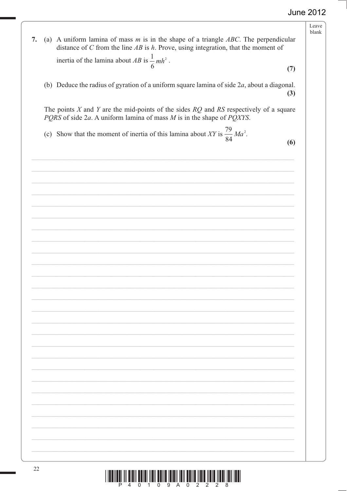Leave blank  $\begin{array}{c} \hline \end{array} \qquad \qquad \begin{array}{c} \hline \end{array} \qquad \qquad \begin{array}{c} \hline \end{array} \qquad \qquad \begin{array}{c} \hline \end{array} \qquad \qquad \begin{array}{c} \hline \end{array} \qquad \qquad \begin{array}{c} \hline \end{array} \qquad \qquad \begin{array}{c} \hline \end{array} \qquad \qquad \begin{array}{c} \hline \end{array} \qquad \qquad \begin{array}{c} \hline \end{array} \qquad \qquad \begin{array}{c} \hline \end{array} \qquad \qquad \begin{array}{c} \hline$ 7. (a) A uniform lamina of mass *m* is in the shape of a triangle *ABC*. The perpendicular distance of C from the line  $AB$  is h. Prove, using integration, that the moment of inertia of the lamina about AB is  $\frac{1}{2}$ 6  $mh^2$ . <sup>6</sup><br>
(b) Deduce the radius of gyration of a uniform square lamina of side 2*a*, about a diagonal.  The points  $X$  and  $Y$  are the mid-points of the sides  $RQ$  and  $RS$  respectively of a square *PQRS* of side 2*a*. A uniform lamina of mass *M* is in the shape of *PQXYS*. (c) Show that the moment of inertia of this lamina about XY is  $\frac{79}{\epsilon}$ 84 *Ma*<sup>2</sup>.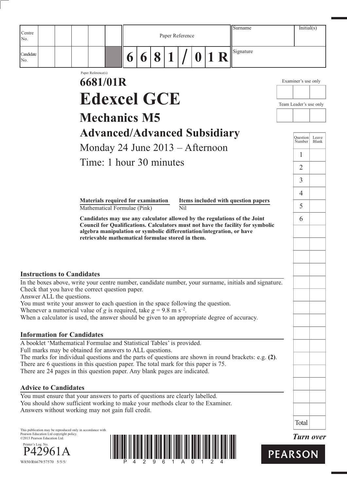| Centre<br>No.                                                                                                                                                                                                                                                                                                                                                                                                                                                                                                                                                                                                                                       |                                                                                                                                                                                                                                                                                                                                       |        |   | Paper Reference |                         |             |    | Surname                             |                                                                                                   | Initial(s)       |
|-----------------------------------------------------------------------------------------------------------------------------------------------------------------------------------------------------------------------------------------------------------------------------------------------------------------------------------------------------------------------------------------------------------------------------------------------------------------------------------------------------------------------------------------------------------------------------------------------------------------------------------------------------|---------------------------------------------------------------------------------------------------------------------------------------------------------------------------------------------------------------------------------------------------------------------------------------------------------------------------------------|--------|---|-----------------|-------------------------|-------------|----|-------------------------------------|---------------------------------------------------------------------------------------------------|------------------|
| Candidate<br>No.                                                                                                                                                                                                                                                                                                                                                                                                                                                                                                                                                                                                                                    |                                                                                                                                                                                                                                                                                                                                       | 6<br>6 | 8 |                 |                         | $\mathbf 0$ | 1R | Signature                           |                                                                                                   |                  |
|                                                                                                                                                                                                                                                                                                                                                                                                                                                                                                                                                                                                                                                     | Paper Reference(s)<br>6681/01R<br><b>Edexcel GCE</b><br><b>Mechanics M5</b><br><b>Advanced/Advanced Subsidiary</b><br>Monday 24 June $2013 -$ Afternoon<br>Time: 1 hour 30 minutes<br>Materials required for examination<br>Mathematical Formulae (Pink)<br>Candidates may use any calculator allowed by the regulations of the Joint |        |   |                 | $\overline{\text{Nil}}$ |             |    | Items included with question papers | Examiner's use only<br>Team Leader's use only<br>Ouestion<br>Number<br>1<br>2<br>3<br>4<br>5<br>6 | Leave<br>Blank   |
| <b>Instructions to Candidates</b><br>In the boxes above, write your centre number, candidate number, your surname, initials and signature.<br>Check that you have the correct question paper.<br>Answer ALL the questions.<br>You must write your answer to each question in the space following the question.<br>Whenever a numerical value of g is required, take $g = 9.8$ m s <sup>-2</sup> .<br>When a calculator is used, the answer should be given to an appropriate degree of accuracy.                                                                                                                                                    | algebra manipulation or symbolic differentiation/integration, or have<br>retrievable mathematical formulae stored in them.                                                                                                                                                                                                            |        |   |                 |                         |             |    |                                     |                                                                                                   |                  |
| <b>Information for Candidates</b><br>A booklet 'Mathematical Formulae and Statistical Tables' is provided.<br>Full marks may be obtained for answers to ALL questions.<br>The marks for individual questions and the parts of questions are shown in round brackets: e.g. (2).<br>There are 6 questions in this question paper. The total mark for this paper is 75.<br>There are 24 pages in this question paper. Any blank pages are indicated.<br><b>Advice to Candidates</b><br>You must ensure that your answers to parts of questions are clearly labelled.<br>You should show sufficient working to make your methods clear to the Examiner. |                                                                                                                                                                                                                                                                                                                                       |        |   |                 |                         |             |    |                                     |                                                                                                   |                  |
| Answers without working may not gain full credit.<br>This publication may be reproduced only in accordance with<br>Pearson Education Ltd copyright policy.<br>©2013 Pearson Education Ltd.<br>Printer's Log. No.<br>61 A<br>W850/R6679/57570 5/5/5/                                                                                                                                                                                                                                                                                                                                                                                                 |                                                                                                                                                                                                                                                                                                                                       |        |   |                 |                         |             |    |                                     | Total<br><b>PEARSON</b>                                                                           | <b>Turn over</b> |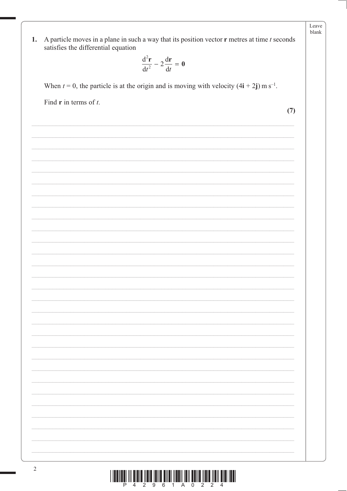|               |                                                                                                                                                  | Leave<br>blank |
|---------------|--------------------------------------------------------------------------------------------------------------------------------------------------|----------------|
| 1.            | A particle moves in a plane in such a way that its position vector $\mathbf r$ metres at time $t$ seconds<br>satisfies the differential equation |                |
|               |                                                                                                                                                  |                |
|               | $\frac{\mathrm{d}^2 \mathbf{r}}{\mathrm{d}t^2} - 2\frac{\mathrm{d}\mathbf{r}}{\mathrm{d}t} = \mathbf{0}$                                         |                |
|               | When $t = 0$ , the particle is at the origin and is moving with velocity $(4i + 2j)$ m s <sup>-1</sup> .                                         |                |
|               | Find $\bf{r}$ in terms of $t$ .                                                                                                                  |                |
|               | (7)                                                                                                                                              |                |
|               |                                                                                                                                                  |                |
|               |                                                                                                                                                  |                |
|               |                                                                                                                                                  |                |
|               |                                                                                                                                                  |                |
|               |                                                                                                                                                  |                |
|               |                                                                                                                                                  |                |
|               |                                                                                                                                                  |                |
|               |                                                                                                                                                  |                |
|               |                                                                                                                                                  |                |
|               |                                                                                                                                                  |                |
|               |                                                                                                                                                  |                |
|               |                                                                                                                                                  |                |
|               |                                                                                                                                                  |                |
|               |                                                                                                                                                  |                |
|               |                                                                                                                                                  |                |
|               |                                                                                                                                                  |                |
|               |                                                                                                                                                  |                |
|               |                                                                                                                                                  |                |
|               |                                                                                                                                                  |                |
|               |                                                                                                                                                  |                |
|               |                                                                                                                                                  |                |
|               |                                                                                                                                                  |                |
|               |                                                                                                                                                  |                |
|               |                                                                                                                                                  |                |
|               |                                                                                                                                                  |                |
|               |                                                                                                                                                  |                |
| $\mathcal{D}$ |                                                                                                                                                  |                |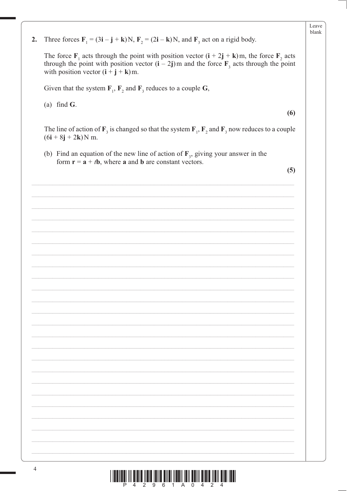| 2. | Three forces $\mathbf{F}_1 = (3\mathbf{i} - \mathbf{j} + \mathbf{k})N$ , $\mathbf{F}_2 = (2\mathbf{i} - \mathbf{k})N$ , and $\mathbf{F}_3$ act on a rigid body.                                                                                                 |
|----|-----------------------------------------------------------------------------------------------------------------------------------------------------------------------------------------------------------------------------------------------------------------|
|    | The force $\mathbf{F}_1$ acts through the point with position vector $(i + 2j + k)m$ , the force $\mathbf{F}_2$ acts<br>through the point with position vector $(i - 2j)$ m and the force $F_3$ acts through the point<br>with position vector $(i + j + k)m$ . |
|    | Given that the system $\mathbf{F}_1$ , $\mathbf{F}_2$ and $\mathbf{F}_3$ reduces to a couple G,                                                                                                                                                                 |
|    | (a) find $G$ .<br>(6)                                                                                                                                                                                                                                           |
|    | The line of action of $\mathbf{F}_3$ is changed so that the system $\mathbf{F}_1$ , $\mathbf{F}_2$ and $\mathbf{F}_3$ now reduces to a couple<br>$(6i + 8j + 2k)N$ m.                                                                                           |
|    | (b) Find an equation of the new line of action of $\mathbf{F}_3$ , giving your answer in the<br>form $\mathbf{r} = \mathbf{a} + t\mathbf{b}$ , where <b>a</b> and <b>b</b> are constant vectors.                                                                |
|    | (5)                                                                                                                                                                                                                                                             |
|    |                                                                                                                                                                                                                                                                 |
|    |                                                                                                                                                                                                                                                                 |
|    |                                                                                                                                                                                                                                                                 |
|    |                                                                                                                                                                                                                                                                 |
|    |                                                                                                                                                                                                                                                                 |
|    |                                                                                                                                                                                                                                                                 |
|    |                                                                                                                                                                                                                                                                 |
|    |                                                                                                                                                                                                                                                                 |
|    |                                                                                                                                                                                                                                                                 |
|    |                                                                                                                                                                                                                                                                 |
|    |                                                                                                                                                                                                                                                                 |
|    |                                                                                                                                                                                                                                                                 |
|    |                                                                                                                                                                                                                                                                 |
|    |                                                                                                                                                                                                                                                                 |
|    |                                                                                                                                                                                                                                                                 |
|    |                                                                                                                                                                                                                                                                 |
|    |                                                                                                                                                                                                                                                                 |
|    |                                                                                                                                                                                                                                                                 |
|    |                                                                                                                                                                                                                                                                 |
|    |                                                                                                                                                                                                                                                                 |
|    |                                                                                                                                                                                                                                                                 |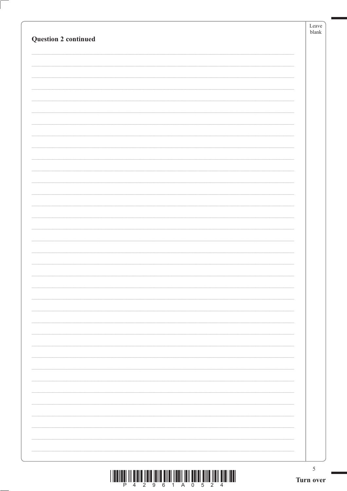|                                                                                                                                                                                                                                                                                                                                                                                                                                                               |           | $\operatorname{Leave}$<br>${\it blank}$ |
|---------------------------------------------------------------------------------------------------------------------------------------------------------------------------------------------------------------------------------------------------------------------------------------------------------------------------------------------------------------------------------------------------------------------------------------------------------------|-----------|-----------------------------------------|
| <b>Question 2 continued</b>                                                                                                                                                                                                                                                                                                                                                                                                                                   |           |                                         |
|                                                                                                                                                                                                                                                                                                                                                                                                                                                               |           |                                         |
|                                                                                                                                                                                                                                                                                                                                                                                                                                                               |           |                                         |
|                                                                                                                                                                                                                                                                                                                                                                                                                                                               |           |                                         |
|                                                                                                                                                                                                                                                                                                                                                                                                                                                               |           |                                         |
|                                                                                                                                                                                                                                                                                                                                                                                                                                                               |           |                                         |
|                                                                                                                                                                                                                                                                                                                                                                                                                                                               |           |                                         |
|                                                                                                                                                                                                                                                                                                                                                                                                                                                               |           |                                         |
|                                                                                                                                                                                                                                                                                                                                                                                                                                                               |           |                                         |
|                                                                                                                                                                                                                                                                                                                                                                                                                                                               |           |                                         |
|                                                                                                                                                                                                                                                                                                                                                                                                                                                               |           |                                         |
|                                                                                                                                                                                                                                                                                                                                                                                                                                                               |           |                                         |
|                                                                                                                                                                                                                                                                                                                                                                                                                                                               |           |                                         |
|                                                                                                                                                                                                                                                                                                                                                                                                                                                               |           |                                         |
|                                                                                                                                                                                                                                                                                                                                                                                                                                                               |           |                                         |
|                                                                                                                                                                                                                                                                                                                                                                                                                                                               |           |                                         |
|                                                                                                                                                                                                                                                                                                                                                                                                                                                               |           |                                         |
|                                                                                                                                                                                                                                                                                                                                                                                                                                                               |           |                                         |
|                                                                                                                                                                                                                                                                                                                                                                                                                                                               |           |                                         |
|                                                                                                                                                                                                                                                                                                                                                                                                                                                               |           |                                         |
|                                                                                                                                                                                                                                                                                                                                                                                                                                                               |           |                                         |
|                                                                                                                                                                                                                                                                                                                                                                                                                                                               |           |                                         |
|                                                                                                                                                                                                                                                                                                                                                                                                                                                               |           |                                         |
|                                                                                                                                                                                                                                                                                                                                                                                                                                                               |           |                                         |
|                                                                                                                                                                                                                                                                                                                                                                                                                                                               |           |                                         |
|                                                                                                                                                                                                                                                                                                                                                                                                                                                               |           |                                         |
|                                                                                                                                                                                                                                                                                                                                                                                                                                                               |           |                                         |
|                                                                                                                                                                                                                                                                                                                                                                                                                                                               |           |                                         |
|                                                                                                                                                                                                                                                                                                                                                                                                                                                               |           |                                         |
|                                                                                                                                                                                                                                                                                                                                                                                                                                                               |           |                                         |
| $\begin{array}{c} \text{if} \ \text{if} \ \text{if} \ \text{if} \ \text{if} \ \text{if} \ \text{if} \ \text{if} \ \text{if} \ \text{if} \ \text{if} \ \text{if} \ \text{if} \ \text{if} \ \text{if} \ \text{if} \ \text{if} \ \text{if} \ \text{if} \ \text{if} \ \text{if} \ \text{if} \ \text{if} \ \text{if} \ \text{if} \ \text{if} \ \text{if} \ \text{if} \ \text{if} \ \text{if} \ \text{if} \ \text{if} \ \text{if} \ \text{if} \ \text{if} \ \text{$ | Turn over | $\sqrt{5}$                              |
|                                                                                                                                                                                                                                                                                                                                                                                                                                                               |           |                                         |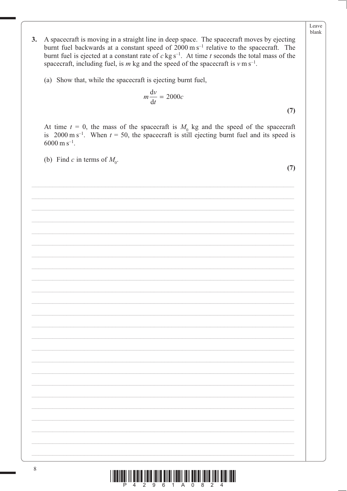- $3.$ A spacecraft is moving in a straight line in deep space. The spacecraft moves by ejecting burnt fuel backwards at a constant speed of  $2000 \text{ m s}^{-1}$  relative to the spacecraft. The burnt fuel is ejected at a constant rate of  $c$  kg s<sup>-1</sup>. At time t seconds the total mass of the spacecraft, including fuel, is m kg and the speed of the spacecraft is  $v \text{ m s}^{-1}$ .
	- (a) Show that, while the spacecraft is ejecting burnt fuel,

$$
m\frac{\mathrm{d}v}{\mathrm{d}t} = 2000c\tag{7}
$$

At time  $t = 0$ , the mass of the spacecraft is  $M_0$  kg and the speed of the spacecraft is 2000 m s<sup>-1</sup>. When  $t = 50$ , the spacecraft is still ejecting burnt fuel and its speed is  $6000 \text{ m s}^{-1}$ .

(b) Find c in terms of  $M_0$ .

 $(7)$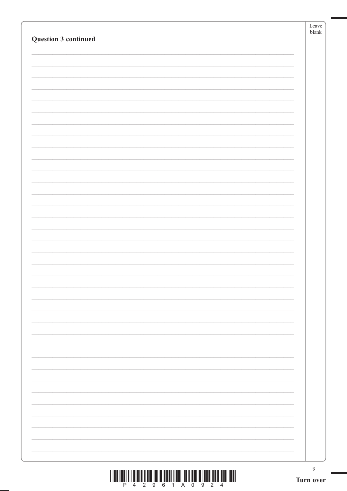| Question 3 continued                                                                                                                                                                                                                                                                                                                                                                                                                                                                                                                                             | $\operatorname{Leave}$<br>${\it blank}$ |
|------------------------------------------------------------------------------------------------------------------------------------------------------------------------------------------------------------------------------------------------------------------------------------------------------------------------------------------------------------------------------------------------------------------------------------------------------------------------------------------------------------------------------------------------------------------|-----------------------------------------|
|                                                                                                                                                                                                                                                                                                                                                                                                                                                                                                                                                                  |                                         |
|                                                                                                                                                                                                                                                                                                                                                                                                                                                                                                                                                                  |                                         |
|                                                                                                                                                                                                                                                                                                                                                                                                                                                                                                                                                                  |                                         |
|                                                                                                                                                                                                                                                                                                                                                                                                                                                                                                                                                                  |                                         |
|                                                                                                                                                                                                                                                                                                                                                                                                                                                                                                                                                                  |                                         |
|                                                                                                                                                                                                                                                                                                                                                                                                                                                                                                                                                                  |                                         |
|                                                                                                                                                                                                                                                                                                                                                                                                                                                                                                                                                                  |                                         |
|                                                                                                                                                                                                                                                                                                                                                                                                                                                                                                                                                                  |                                         |
|                                                                                                                                                                                                                                                                                                                                                                                                                                                                                                                                                                  |                                         |
|                                                                                                                                                                                                                                                                                                                                                                                                                                                                                                                                                                  |                                         |
|                                                                                                                                                                                                                                                                                                                                                                                                                                                                                                                                                                  |                                         |
|                                                                                                                                                                                                                                                                                                                                                                                                                                                                                                                                                                  |                                         |
|                                                                                                                                                                                                                                                                                                                                                                                                                                                                                                                                                                  |                                         |
|                                                                                                                                                                                                                                                                                                                                                                                                                                                                                                                                                                  |                                         |
|                                                                                                                                                                                                                                                                                                                                                                                                                                                                                                                                                                  |                                         |
|                                                                                                                                                                                                                                                                                                                                                                                                                                                                                                                                                                  |                                         |
|                                                                                                                                                                                                                                                                                                                                                                                                                                                                                                                                                                  |                                         |
|                                                                                                                                                                                                                                                                                                                                                                                                                                                                                                                                                                  |                                         |
|                                                                                                                                                                                                                                                                                                                                                                                                                                                                                                                                                                  |                                         |
|                                                                                                                                                                                                                                                                                                                                                                                                                                                                                                                                                                  |                                         |
|                                                                                                                                                                                                                                                                                                                                                                                                                                                                                                                                                                  |                                         |
|                                                                                                                                                                                                                                                                                                                                                                                                                                                                                                                                                                  |                                         |
|                                                                                                                                                                                                                                                                                                                                                                                                                                                                                                                                                                  |                                         |
|                                                                                                                                                                                                                                                                                                                                                                                                                                                                                                                                                                  |                                         |
|                                                                                                                                                                                                                                                                                                                                                                                                                                                                                                                                                                  |                                         |
| $\begin{array}{c} \end{array} \begin{array}{c} \begin{array}{c} \begin{array}{c} \begin{array}{c} \end{array} \\ \begin{array}{c} \end{array} \\ \begin{array}{c} \end{array} \\ \begin{array}{c} \end{array} \\ \begin{array}{c} \end{array} \\ \begin{array}{c} \end{array} \\ \begin{array}{c} \end{array} \\ \begin{array}{c} \end{array} \\ \begin{array}{c} \end{array} \\ \begin{array}{c} \end{array} \\ \begin{array}{c} \end{array} \\ \begin{array}{c} \end{array} \\ \begin{array}{c} \end{array} \\ \begin{array}{c} \end{array} \\ \begin{array}{$ | $\overline{9}$<br>Turn over             |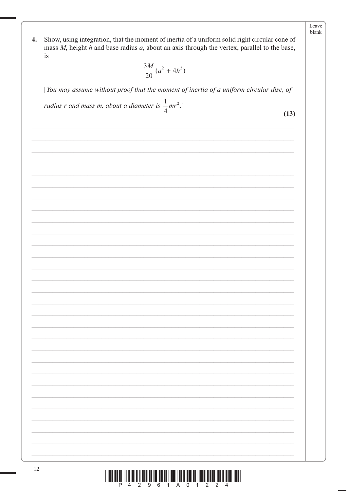Show, using integration, that the moment of inertia of a uniform solid right circular cone of  $\boldsymbol{4}$ . mass  $M$ , height  $h$  and base radius  $a$ , about an axis through the vertex, parallel to the base, is

$$
\frac{3M}{20}(a^2+4h^2)
$$

[You may assume without proof that the moment of inertia of a uniform circular disc, of

radius r and mass m, about a diameter is  $\frac{1}{4}mr^2$ .]

 $(13)$ 

Leave blank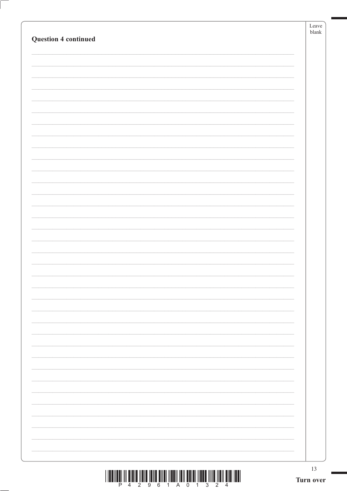|                             | 13<br>Turn over |
|-----------------------------|-----------------|
|                             |                 |
|                             |                 |
|                             |                 |
|                             |                 |
|                             |                 |
|                             |                 |
|                             |                 |
|                             |                 |
|                             |                 |
|                             |                 |
|                             |                 |
|                             |                 |
|                             |                 |
|                             |                 |
|                             |                 |
|                             |                 |
|                             |                 |
|                             |                 |
|                             |                 |
|                             |                 |
|                             |                 |
|                             |                 |
| <b>Question 4 continued</b> | ${\tt blank}$   |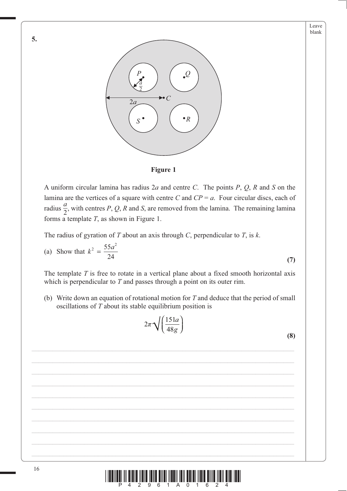**(7)**





A uniform circular lamina has radius 2*a* and centre *C*. The points *P*, *Q*, *R* and *S* on the lamina are the vertices of a square with centre *C* and *CP* = *a*. Four circular discs, each of radius  $\frac{a}{2}$ , with centres *P*, *Q*, *R* and *S*, are removed from the lamina. The remaining lamina forms a template *T*, as shown in Figure 1.

The radius of gyration of *T* about an axis through *C*, perpendicular to *T*, is *k*.

(a) Show that 
$$
k^2 = \frac{55a^2}{24}
$$

The template *T* is free to rotate in a vertical plane about a fixed smooth horizontal axis which is perpendicular to *T* and passes through a point on its outer rim.

 (b) Write down an equation of rotational motion for *T* and deduce that the period of small oscillations of *T* about its stable equilibrium position is

> 48  $\pi \sqrt{\frac{151a}{48}}$

*g*

 $2\pi\sqrt{\frac{151}{12}}$ 

$$
2\pi\sqrt{\left(\frac{151a}{48g}\right)}
$$
\n(8)

**5.**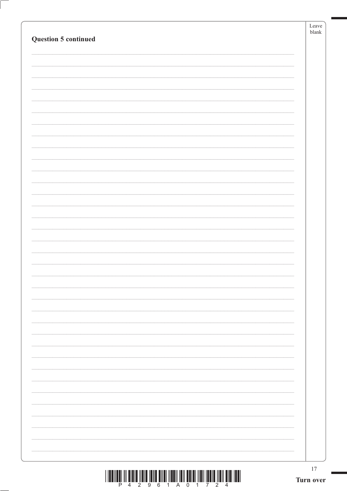| Question 5 continued                                                                                                   | Leave<br>$b$ lank |
|------------------------------------------------------------------------------------------------------------------------|-------------------|
|                                                                                                                        |                   |
|                                                                                                                        |                   |
|                                                                                                                        |                   |
|                                                                                                                        |                   |
|                                                                                                                        |                   |
|                                                                                                                        |                   |
|                                                                                                                        |                   |
|                                                                                                                        |                   |
|                                                                                                                        |                   |
|                                                                                                                        |                   |
|                                                                                                                        |                   |
|                                                                                                                        |                   |
|                                                                                                                        |                   |
|                                                                                                                        |                   |
|                                                                                                                        |                   |
|                                                                                                                        |                   |
|                                                                                                                        |                   |
|                                                                                                                        |                   |
|                                                                                                                        |                   |
|                                                                                                                        |                   |
|                                                                                                                        |                   |
|                                                                                                                        |                   |
|                                                                                                                        |                   |
|                                                                                                                        |                   |
|                                                                                                                        |                   |
|                                                                                                                        |                   |
|                                                                                                                        |                   |
| <u>וה הוא המוסדות המוסדות המוסדות המוסדות המוסדות המוסדות המוסדות המוסדות המוסדות המוסדות המוסדות המוסדות המוסדות </u> | 17                |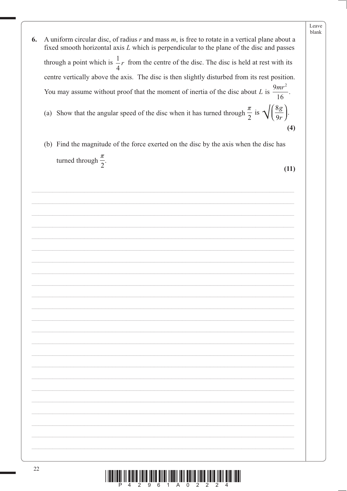6. A uniform circular disc, of radius  $r$  and mass  $m$ , is free to rotate in a vertical plane about a fixed smooth horizontal axis  $L$  which is perpendicular to the plane of the disc and passes through a point which is  $\frac{1}{4}r$  from the centre of the disc. The disc is held at rest with its centre vertically above the axis. The disc is then slightly disturbed from its rest position. You may assume without proof that the moment of inertia of the disc about L is  $\frac{9mr^2}{16}$ . (a) Show that the angular speed of the disc when it has turned through  $\frac{\pi}{2}$  is  $\sqrt{\left(\frac{8g}{9r}\right)}$ .  $(4)$ (b) Find the magnitude of the force exerted on the disc by the axis when the disc has turned through  $\frac{\pi}{2}$ .  $(11)$ 

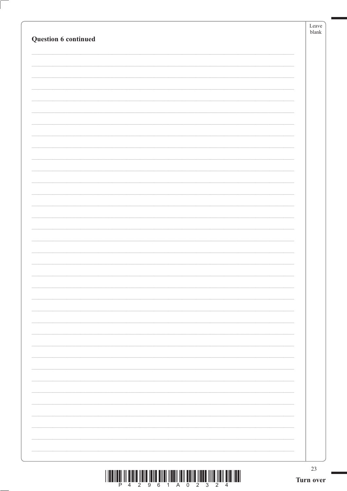| Question 6 continued | ${\tt blank}$ |
|----------------------|---------------|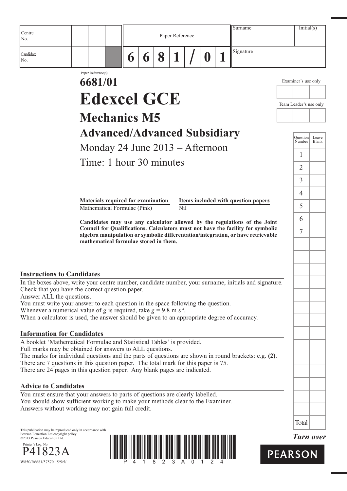|                                                                                                                                                                                |                                                                          |   |   |   |                 |   | Surname                                                                                                                                                             | Initial(s)                |                |
|--------------------------------------------------------------------------------------------------------------------------------------------------------------------------------|--------------------------------------------------------------------------|---|---|---|-----------------|---|---------------------------------------------------------------------------------------------------------------------------------------------------------------------|---------------------------|----------------|
| Centre<br>No.                                                                                                                                                                  |                                                                          |   |   |   | Paper Reference |   |                                                                                                                                                                     |                           |                |
| Candidate<br>No.                                                                                                                                                               |                                                                          | 6 | 6 | 8 |                 | 0 | Signature                                                                                                                                                           |                           |                |
|                                                                                                                                                                                | Paper Reference(s)<br>6681/01                                            |   |   |   |                 |   |                                                                                                                                                                     | Examiner's use only       |                |
|                                                                                                                                                                                | <b>Edexcel GCE</b>                                                       |   |   |   |                 |   |                                                                                                                                                                     | Team Leader's use only    |                |
|                                                                                                                                                                                | <b>Mechanics M5</b>                                                      |   |   |   |                 |   |                                                                                                                                                                     |                           |                |
|                                                                                                                                                                                | <b>Advanced/Advanced Subsidiary</b><br>Monday 24 June $2013 -$ Afternoon |   |   |   |                 |   |                                                                                                                                                                     | <b>Question</b><br>Number | Leave<br>Blank |
|                                                                                                                                                                                | Time: 1 hour 30 minutes                                                  |   |   |   |                 |   |                                                                                                                                                                     | 1                         |                |
|                                                                                                                                                                                |                                                                          |   |   |   |                 |   |                                                                                                                                                                     | 2                         |                |
|                                                                                                                                                                                |                                                                          |   |   |   |                 |   |                                                                                                                                                                     | $\overline{3}$            |                |
|                                                                                                                                                                                | Materials required for examination                                       |   |   |   |                 |   | Items included with question papers                                                                                                                                 | 4                         |                |
|                                                                                                                                                                                | Mathematical Formulae (Pink)                                             |   |   |   | Nil             |   |                                                                                                                                                                     | 5                         |                |
|                                                                                                                                                                                |                                                                          |   |   |   |                 |   | Candidates may use any calculator allowed by the regulations of the Joint                                                                                           | 6                         |                |
|                                                                                                                                                                                | mathematical formulae stored in them.                                    |   |   |   |                 |   | Council for Qualifications. Calculators must not have the facility for symbolic<br>algebra manipulation or symbolic differentation/integration, or have retrievable | 7                         |                |
|                                                                                                                                                                                |                                                                          |   |   |   |                 |   |                                                                                                                                                                     |                           |                |
| <b>Instructions to Candidates</b>                                                                                                                                              |                                                                          |   |   |   |                 |   |                                                                                                                                                                     |                           |                |
| Check that you have the correct question paper.                                                                                                                                |                                                                          |   |   |   |                 |   | In the boxes above, write your centre number, candidate number, your surname, initials and signature.                                                               |                           |                |
| Answer ALL the questions.<br>You must write your answer to each question in the space following the question.                                                                  |                                                                          |   |   |   |                 |   |                                                                                                                                                                     |                           |                |
| Whenever a numerical value of g is required, take $g = 9.8$ m s <sup>-2</sup> .<br>When a calculator is used, the answer should be given to an appropriate degree of accuracy. |                                                                          |   |   |   |                 |   |                                                                                                                                                                     |                           |                |
|                                                                                                                                                                                |                                                                          |   |   |   |                 |   |                                                                                                                                                                     |                           |                |

#### **Information for Candidates**

A booklet 'Mathematical Formulae and Statistical Tables' is provided. Full marks may be obtained for answers to ALL questions. The marks for individual questions and the parts of questions are shown in round brackets: e.g. **(2)**. There are 7 questions in this question paper. The total mark for this paper is 75. There are 24 pages in this question paper. Any blank pages are indicated.

#### **Advice to Candidates**

You must ensure that your answers to parts of questions are clearly labelled. You should show sufficient working to make your methods clear to the Examiner. Answers without working may not gain full credit.

This publication may be reproduced only in accordance with Pearson Education Ltd copyright policy. ©2013 Pearson Education Ltd.







Total

*Turn over*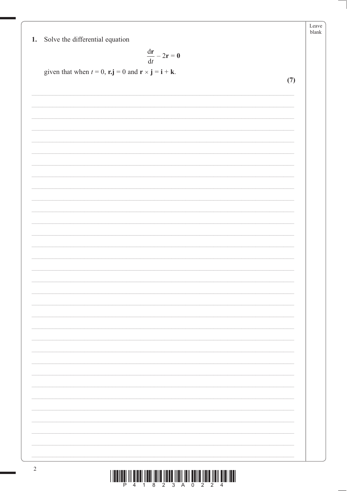| Solve the differential equation<br>1. |  |
|---------------------------------------|--|
|---------------------------------------|--|

$$
\frac{\mathrm{d}\mathbf{r}}{\mathrm{d}t}-2\mathbf{r}=\mathbf{0}
$$

 $(7)$ 

given that when  $t = 0$ ,  $\mathbf{r} \cdot \mathbf{j} = 0$  and  $\mathbf{r} \times \mathbf{j} = \mathbf{i} + \mathbf{k}$ .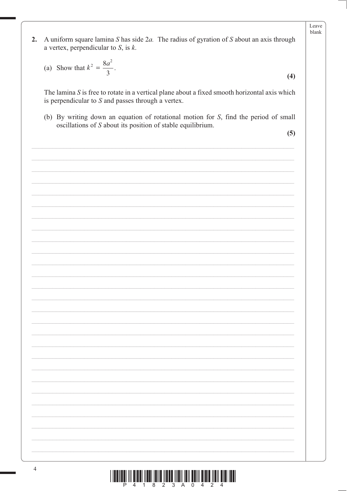A uniform square lamina  $S$  has side  $2a$ . The radius of gyration of  $S$  about an axis through  $2.$ a vertex, perpendicular to  $S$ , is  $k$ .

(a) Show that 
$$
k^2 = \frac{8a^2}{3}
$$
.

The lamina  $S$  is free to rotate in a vertical plane about a fixed smooth horizontal axis which is perpendicular to  $S$  and passes through a vertex.

(b) By writing down an equation of rotational motion for S, find the period of small oscillations of  $S$  about its position of stable equilibrium.

 $(5)$ 

 $(4)$ 

Leave blank

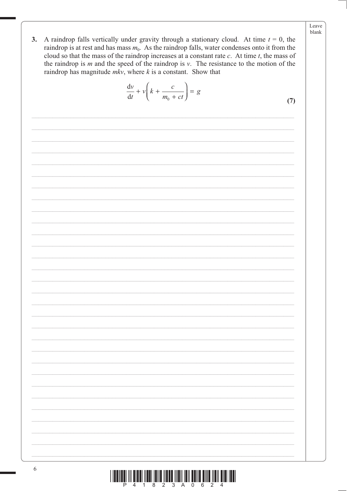A raindrop falls vertically under gravity through a stationary cloud. At time  $t = 0$ , the  $3.$ raindrop is at rest and has mass  $m_0$ . As the raindrop falls, water condenses onto it from the cloud so that the mass of the raindrop increases at a constant rate  $c$ . At time  $t$ , the mass of the raindrop is  $m$  and the speed of the raindrop is  $v$ . The resistance to the motion of the raindrop has magnitude  $mkv$ , where  $k$  is a constant. Show that

$$
\frac{\mathrm{d}v}{\mathrm{d}t} + v \left( k + \frac{c}{m_0 + ct} \right) = g
$$

 $(7)$ 

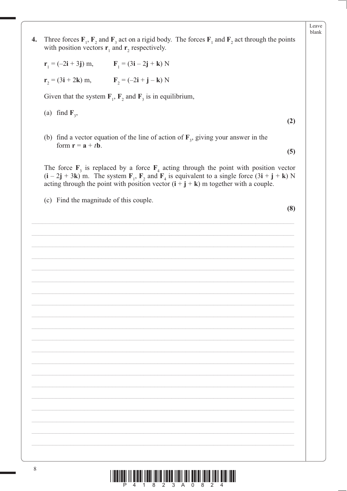| 4. | Three forces $\mathbf{F}_1$ , $\mathbf{F}_2$ and $\mathbf{F}_3$ act on a rigid body. The forces $\mathbf{F}_1$ and $\mathbf{F}_2$ act through the points<br>with position vectors $\mathbf{r}_1$ and $\mathbf{r}_2$ respectively.                                                             |     |
|----|-----------------------------------------------------------------------------------------------------------------------------------------------------------------------------------------------------------------------------------------------------------------------------------------------|-----|
|    | $r_1 = (-2i + 3j)$ m, $F_1 = (3i - 2j + k)$ N                                                                                                                                                                                                                                                 |     |
|    | $r_2 = (3i + 2k) m$ , $F_2 = (-2i + j - k) N$                                                                                                                                                                                                                                                 |     |
|    | Given that the system $F_1$ , $F_2$ and $F_3$ is in equilibrium,                                                                                                                                                                                                                              |     |
|    | (a) find $\mathbf{F}_3$ ,                                                                                                                                                                                                                                                                     | (2) |
|    | (b) find a vector equation of the line of action of $\mathbf{F}_3$ , giving your answer in the<br>form $\mathbf{r} = \mathbf{a} + t\mathbf{b}$ .                                                                                                                                              | (5) |
|    | The force $F_3$ is replaced by a force $F_4$ acting through the point with position vector<br>$(i - 2j + 3k)$ m. The system $F_1$ , $F_2$ and $F_4$ is equivalent to a single force $(3i + j + k)$ N<br>acting through the point with position vector $(i + j + k)$ m together with a couple. |     |
|    | (c) Find the magnitude of this couple.                                                                                                                                                                                                                                                        |     |
|    |                                                                                                                                                                                                                                                                                               | (8) |
|    |                                                                                                                                                                                                                                                                                               |     |
|    |                                                                                                                                                                                                                                                                                               |     |
|    |                                                                                                                                                                                                                                                                                               |     |
|    |                                                                                                                                                                                                                                                                                               |     |
|    |                                                                                                                                                                                                                                                                                               |     |
|    |                                                                                                                                                                                                                                                                                               |     |
|    |                                                                                                                                                                                                                                                                                               |     |
|    |                                                                                                                                                                                                                                                                                               |     |
|    |                                                                                                                                                                                                                                                                                               |     |
|    |                                                                                                                                                                                                                                                                                               |     |
|    |                                                                                                                                                                                                                                                                                               |     |
|    |                                                                                                                                                                                                                                                                                               |     |
|    |                                                                                                                                                                                                                                                                                               |     |
|    |                                                                                                                                                                                                                                                                                               |     |
|    |                                                                                                                                                                                                                                                                                               |     |
| 8  |                                                                                                                                                                                                                                                                                               |     |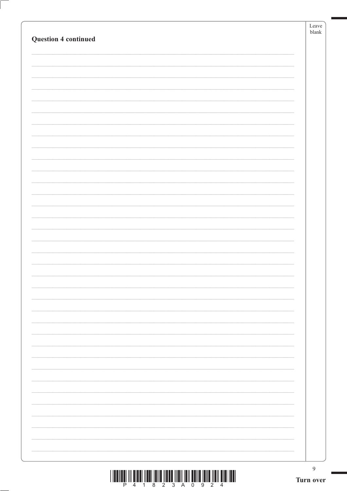|                                                                                                                                                                                                                                | Leave<br>${\it blank}$ |
|--------------------------------------------------------------------------------------------------------------------------------------------------------------------------------------------------------------------------------|------------------------|
| <b>Question 4 continued</b>                                                                                                                                                                                                    |                        |
|                                                                                                                                                                                                                                |                        |
|                                                                                                                                                                                                                                |                        |
|                                                                                                                                                                                                                                |                        |
|                                                                                                                                                                                                                                |                        |
|                                                                                                                                                                                                                                |                        |
|                                                                                                                                                                                                                                |                        |
|                                                                                                                                                                                                                                |                        |
|                                                                                                                                                                                                                                |                        |
|                                                                                                                                                                                                                                |                        |
|                                                                                                                                                                                                                                |                        |
|                                                                                                                                                                                                                                |                        |
|                                                                                                                                                                                                                                |                        |
|                                                                                                                                                                                                                                |                        |
|                                                                                                                                                                                                                                |                        |
|                                                                                                                                                                                                                                |                        |
|                                                                                                                                                                                                                                |                        |
|                                                                                                                                                                                                                                |                        |
|                                                                                                                                                                                                                                |                        |
|                                                                                                                                                                                                                                |                        |
|                                                                                                                                                                                                                                |                        |
|                                                                                                                                                                                                                                |                        |
|                                                                                                                                                                                                                                |                        |
|                                                                                                                                                                                                                                |                        |
|                                                                                                                                                                                                                                |                        |
|                                                                                                                                                                                                                                |                        |
|                                                                                                                                                                                                                                |                        |
|                                                                                                                                                                                                                                |                        |
|                                                                                                                                                                                                                                |                        |
|                                                                                                                                                                                                                                |                        |
|                                                                                                                                                                                                                                |                        |
|                                                                                                                                                                                                                                |                        |
|                                                                                                                                                                                                                                |                        |
|                                                                                                                                                                                                                                |                        |
|                                                                                                                                                                                                                                |                        |
|                                                                                                                                                                                                                                |                        |
| THE THE THE TIME IS A REPORT OF THE TIME OF THE TIME IS AN ISSUE OF THE TIME OF THE TIME OF THE TIME OF THE TIME OF THE TIME OF THE TIME OF THE TIME OF THE TIME OF THE TIME OF THE TIME OF THE TIME OF THE TIME OF THE TIME O | $\boldsymbol{9}$       |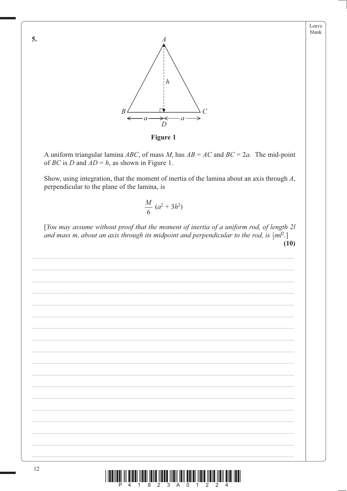

Figure 1

A uniform triangular lamina ABC, of mass M, has  $AB = AC$  and  $BC = 2a$ . The mid-point of *BC* is *D* and  $AD = h$ , as shown in Figure 1.

Show, using integration, that the moment of inertia of the lamina about an axis through  $A$ , perpendicular to the plane of the lamina, is

$$
\frac{M}{6} (a^2 + 3h^2)
$$

[You may assume without proof that the moment of inertia of a uniform rod, of length 2l and mass m, about an axis through its midpoint and perpendicular to the rod, is  $\frac{1}{2}m^2$ .]  $(10)$ 



5.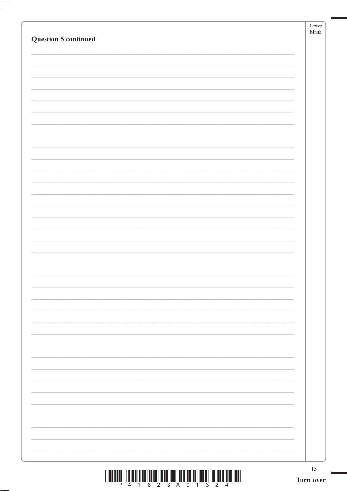|                      | 13<br>Turn over |
|----------------------|-----------------|
|                      |                 |
|                      |                 |
|                      |                 |
|                      |                 |
|                      |                 |
|                      |                 |
|                      |                 |
|                      |                 |
|                      |                 |
|                      |                 |
|                      |                 |
|                      |                 |
|                      |                 |
|                      |                 |
|                      |                 |
|                      |                 |
|                      |                 |
|                      |                 |
|                      |                 |
|                      |                 |
| Question 5 continued | blank           |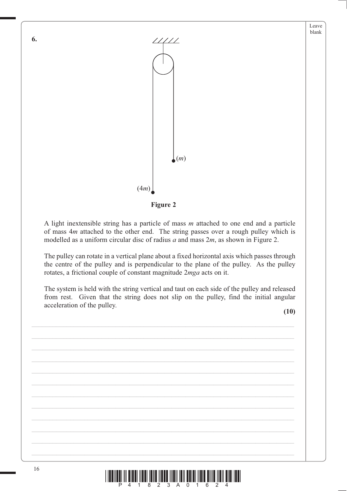



A light inextensible string has a particle of mass *m* attached to one end and a particle of mass 4*m* attached to the other end. The string passes over a rough pulley which is modelled as a uniform circular disc of radius *a* and mass 2*m*, as shown in Figure 2.

The pulley can rotate in a vertical plane about a fixed horizontal axis which passes through the centre of the pulley and is perpendicular to the plane of the pulley. As the pulley rotates, a frictional couple of constant magnitude 2*mga* acts on it.

The system is held with the string vertical and taut on each side of the pulley and released from rest. Given that the string does not slip on the pulley, find the initial angular acceleration of the pulley.

**(10)**



**6.**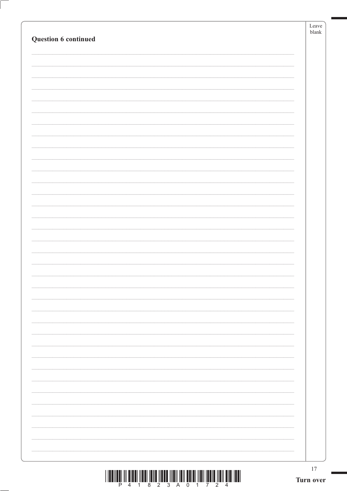|                      | $17\,$<br>Turn over |
|----------------------|---------------------|
|                      |                     |
|                      |                     |
|                      |                     |
|                      |                     |
|                      |                     |
|                      |                     |
|                      |                     |
|                      |                     |
|                      |                     |
|                      |                     |
|                      |                     |
|                      |                     |
|                      |                     |
|                      |                     |
|                      |                     |
|                      |                     |
|                      |                     |
|                      |                     |
|                      |                     |
|                      |                     |
|                      |                     |
|                      |                     |
|                      |                     |
| Question 6 continued |                     |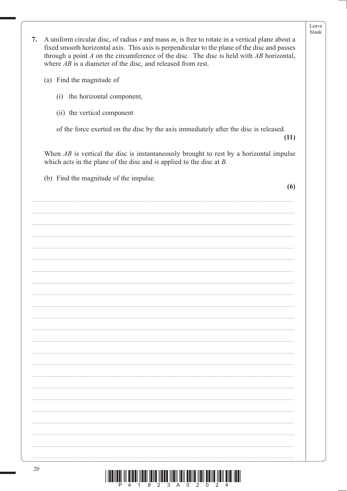| 7. | A uniform circular disc, of radius $r$ and mass $m$ , is free to rotate in a vertical plane about a<br>fixed smooth horizontal axis. This axis is perpendicular to the plane of the disc and passes<br>through a point $A$ on the circumference of the disc. The disc is held with $AB$ horizontal,<br>where $AB$ is a diameter of the disc, and released from rest. | blank |
|----|----------------------------------------------------------------------------------------------------------------------------------------------------------------------------------------------------------------------------------------------------------------------------------------------------------------------------------------------------------------------|-------|
|    | (a) Find the magnitude of                                                                                                                                                                                                                                                                                                                                            |       |
|    | the horizontal component,<br>(i)                                                                                                                                                                                                                                                                                                                                     |       |
|    | (ii) the vertical component                                                                                                                                                                                                                                                                                                                                          |       |
|    | of the force exerted on the disc by the axis immediately after the disc is released.<br>(11)                                                                                                                                                                                                                                                                         |       |
|    | When $AB$ is vertical the disc is instantaneously brought to rest by a horizontal impulse<br>which acts in the plane of the disc and is applied to the disc at $B$ .                                                                                                                                                                                                 |       |
|    | (b) Find the magnitude of the impulse.                                                                                                                                                                                                                                                                                                                               |       |
|    | (6)                                                                                                                                                                                                                                                                                                                                                                  |       |
|    |                                                                                                                                                                                                                                                                                                                                                                      |       |
|    |                                                                                                                                                                                                                                                                                                                                                                      |       |
|    |                                                                                                                                                                                                                                                                                                                                                                      |       |
|    |                                                                                                                                                                                                                                                                                                                                                                      |       |
|    |                                                                                                                                                                                                                                                                                                                                                                      |       |
|    |                                                                                                                                                                                                                                                                                                                                                                      |       |
|    |                                                                                                                                                                                                                                                                                                                                                                      |       |
|    |                                                                                                                                                                                                                                                                                                                                                                      |       |
|    |                                                                                                                                                                                                                                                                                                                                                                      |       |
|    |                                                                                                                                                                                                                                                                                                                                                                      |       |
|    |                                                                                                                                                                                                                                                                                                                                                                      |       |
|    |                                                                                                                                                                                                                                                                                                                                                                      |       |
|    |                                                                                                                                                                                                                                                                                                                                                                      |       |
|    |                                                                                                                                                                                                                                                                                                                                                                      |       |
|    |                                                                                                                                                                                                                                                                                                                                                                      |       |
|    |                                                                                                                                                                                                                                                                                                                                                                      |       |
|    |                                                                                                                                                                                                                                                                                                                                                                      |       |
|    |                                                                                                                                                                                                                                                                                                                                                                      |       |

Leave